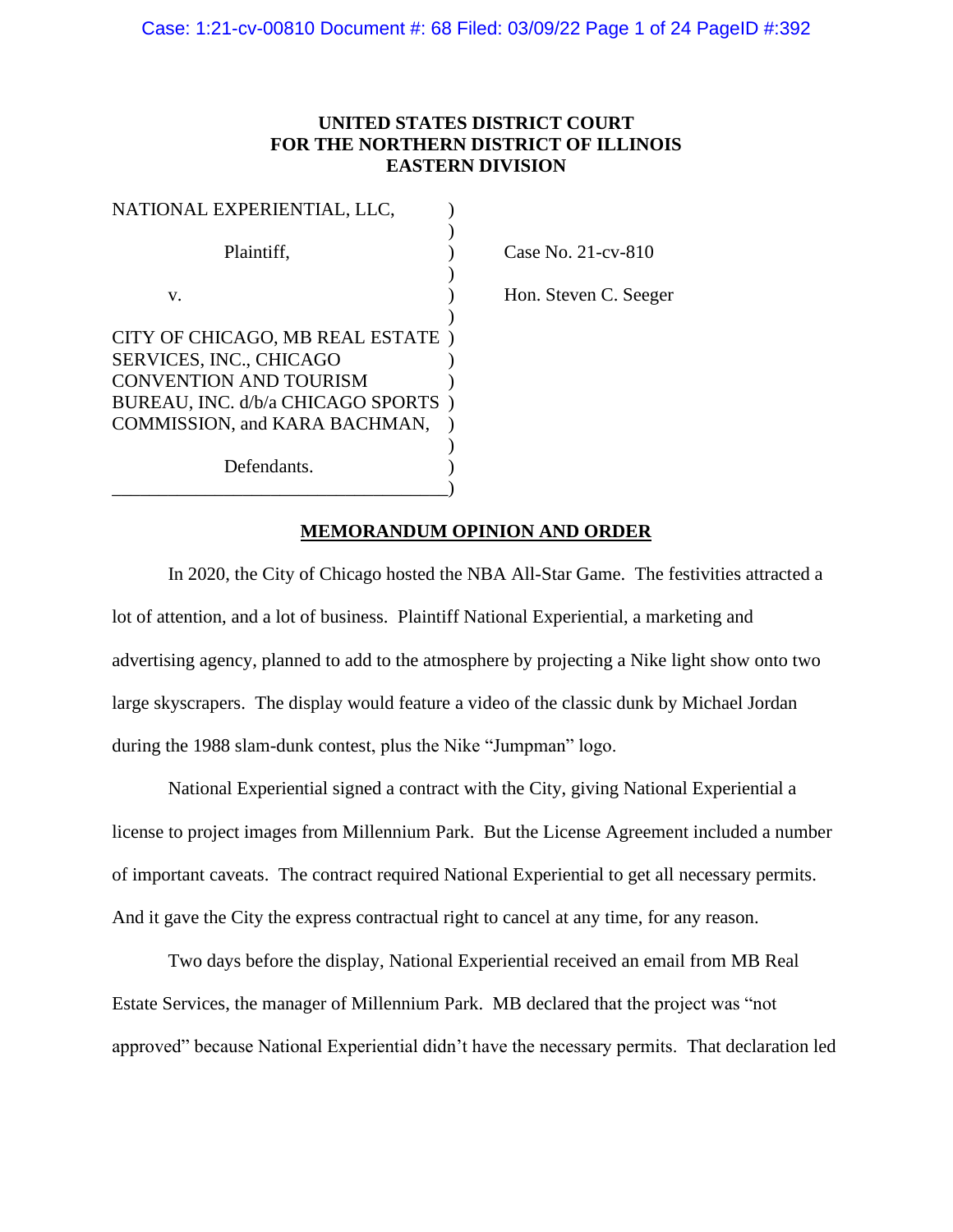# **UNITED STATES DISTRICT COURT FOR THE NORTHERN DISTRICT OF ILLINOIS EASTERN DIVISION**

| NATIONAL EXPERIENTIAL, LLC,                                        |  |
|--------------------------------------------------------------------|--|
| Plaintiff.                                                         |  |
| v.                                                                 |  |
| CITY OF CHICAGO, MB REAL ESTATE<br><b>SERVICES, INC., CHICAGO</b>  |  |
| <b>CONVENTION AND TOURISM</b><br>BUREAU, INC. d/b/a CHICAGO SPORTS |  |
| COMMISSION, and KARA BACHMAN,                                      |  |
| Defendants.                                                        |  |

Case No.  $21$ -cv- $810$ 

Hon. Steven C. Seeger

# **MEMORANDUM OPINION AND ORDER**

In 2020, the City of Chicago hosted the NBA All-Star Game. The festivities attracted a lot of attention, and a lot of business. Plaintiff National Experiential, a marketing and advertising agency, planned to add to the atmosphere by projecting a Nike light show onto two large skyscrapers. The display would feature a video of the classic dunk by Michael Jordan during the 1988 slam-dunk contest, plus the Nike "Jumpman" logo.

National Experiential signed a contract with the City, giving National Experiential a license to project images from Millennium Park. But the License Agreement included a number of important caveats. The contract required National Experiential to get all necessary permits. And it gave the City the express contractual right to cancel at any time, for any reason.

Two days before the display, National Experiential received an email from MB Real Estate Services, the manager of Millennium Park. MB declared that the project was "not approved" because National Experiential didn't have the necessary permits. That declaration led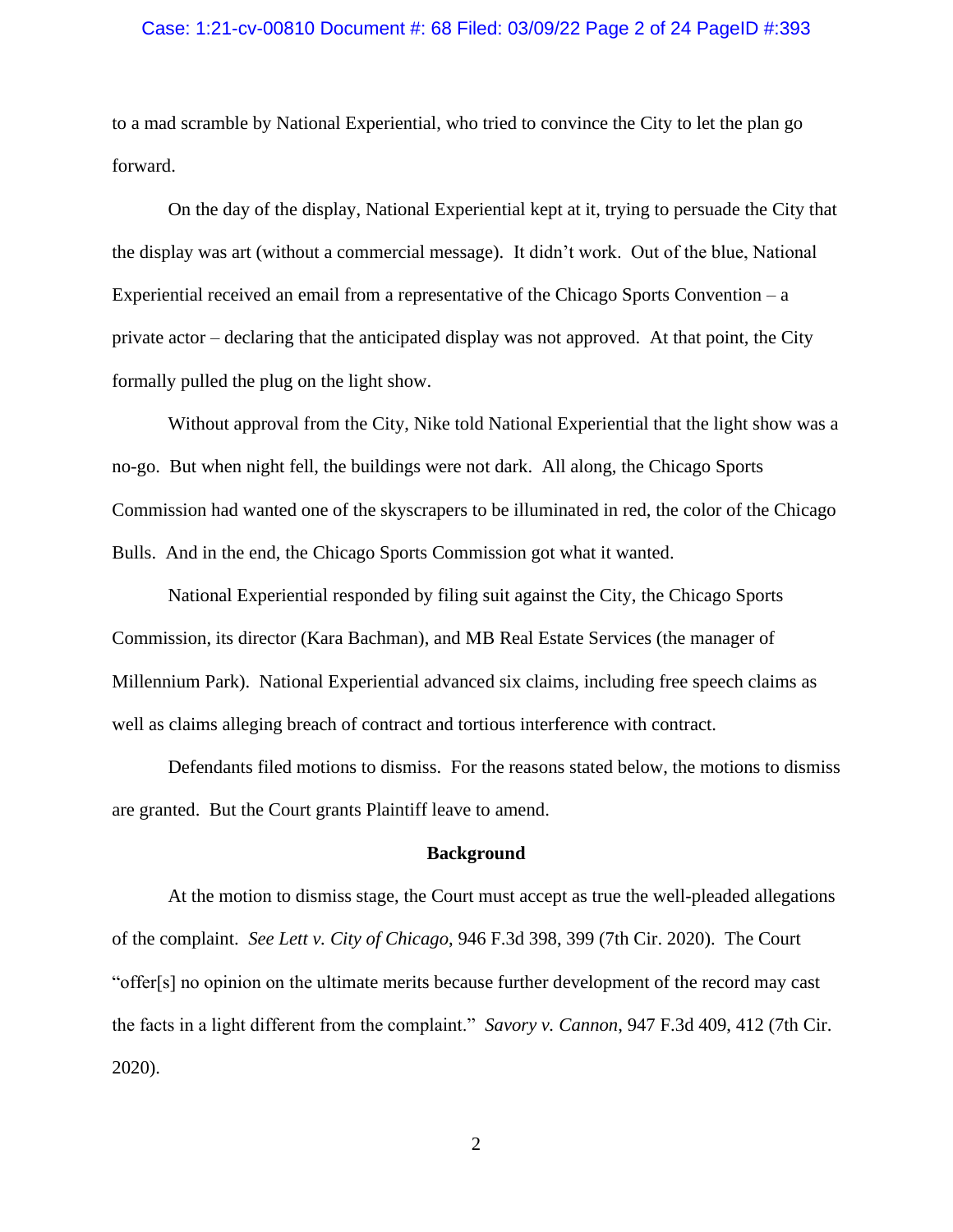### Case: 1:21-cv-00810 Document #: 68 Filed: 03/09/22 Page 2 of 24 PageID #:393

to a mad scramble by National Experiential, who tried to convince the City to let the plan go forward.

On the day of the display, National Experiential kept at it, trying to persuade the City that the display was art (without a commercial message). It didn't work. Out of the blue, National Experiential received an email from a representative of the Chicago Sports Convention  $-a$ private actor – declaring that the anticipated display was not approved. At that point, the City formally pulled the plug on the light show.

Without approval from the City, Nike told National Experiential that the light show was a no-go. But when night fell, the buildings were not dark. All along, the Chicago Sports Commission had wanted one of the skyscrapers to be illuminated in red, the color of the Chicago Bulls. And in the end, the Chicago Sports Commission got what it wanted.

National Experiential responded by filing suit against the City, the Chicago Sports Commission, its director (Kara Bachman), and MB Real Estate Services (the manager of Millennium Park). National Experiential advanced six claims, including free speech claims as well as claims alleging breach of contract and tortious interference with contract.

Defendants filed motions to dismiss. For the reasons stated below, the motions to dismiss are granted. But the Court grants Plaintiff leave to amend.

#### **Background**

At the motion to dismiss stage, the Court must accept as true the well-pleaded allegations of the complaint. *See Lett v. City of Chicago*, 946 F.3d 398, 399 (7th Cir. 2020). The Court "offer[s] no opinion on the ultimate merits because further development of the record may cast the facts in a light different from the complaint." *Savory v. Cannon*, 947 F.3d 409, 412 (7th Cir. 2020).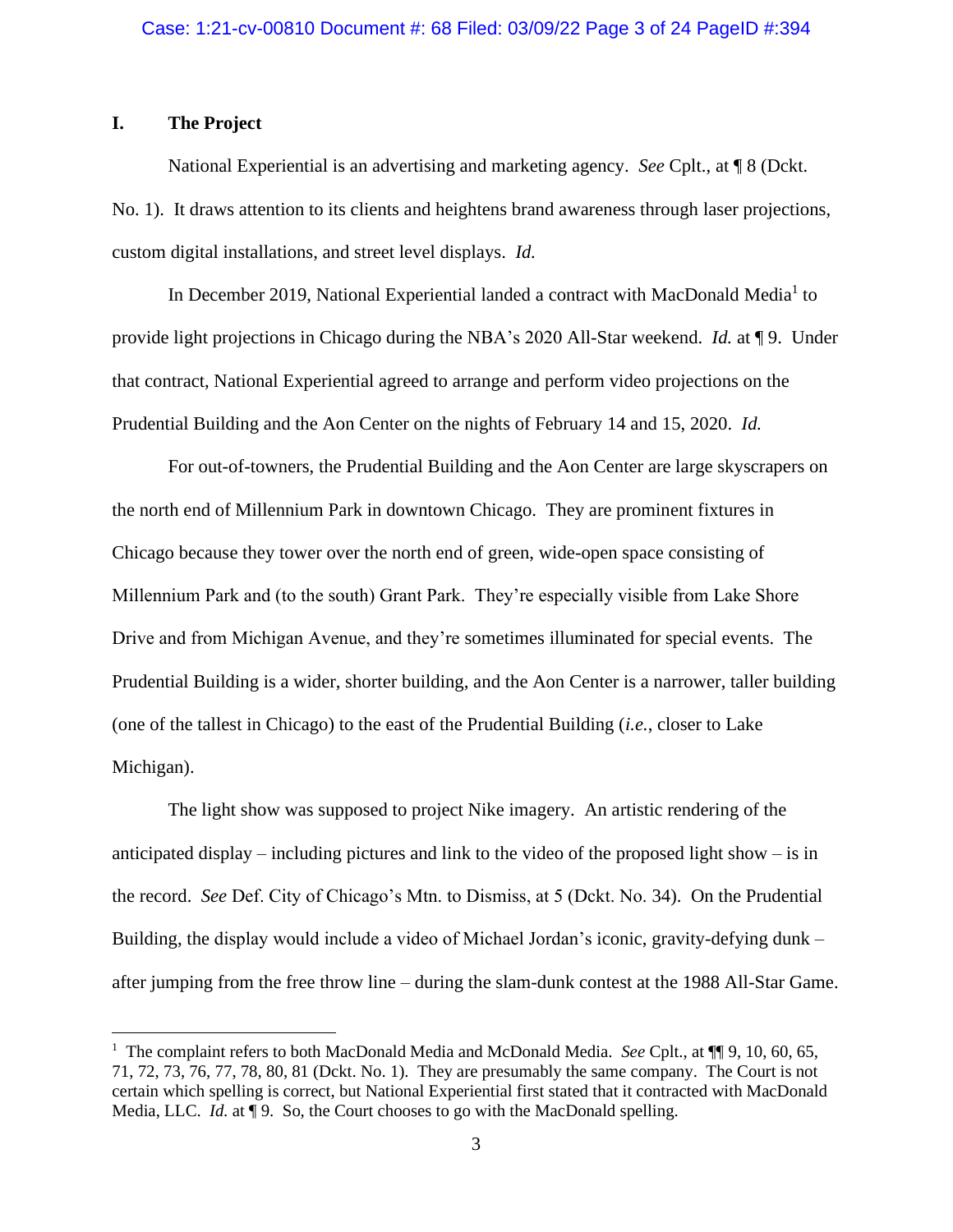# **I. The Project**

National Experiential is an advertising and marketing agency. *See* Cplt., at ¶ 8 (Dckt. No. 1). It draws attention to its clients and heightens brand awareness through laser projections, custom digital installations, and street level displays. *Id.*

In December 2019, National Experiential landed a contract with MacDonald Media<sup>1</sup> to provide light projections in Chicago during the NBA's 2020 All-Star weekend. *Id.* at ¶ 9. Under that contract, National Experiential agreed to arrange and perform video projections on the Prudential Building and the Aon Center on the nights of February 14 and 15, 2020. *Id.*

For out-of-towners, the Prudential Building and the Aon Center are large skyscrapers on the north end of Millennium Park in downtown Chicago. They are prominent fixtures in Chicago because they tower over the north end of green, wide-open space consisting of Millennium Park and (to the south) Grant Park. They're especially visible from Lake Shore Drive and from Michigan Avenue, and they're sometimes illuminated for special events. The Prudential Building is a wider, shorter building, and the Aon Center is a narrower, taller building (one of the tallest in Chicago) to the east of the Prudential Building (*i.e.*, closer to Lake Michigan).

The light show was supposed to project Nike imagery. An artistic rendering of the anticipated display – including pictures and link to the video of the proposed light show – is in the record. *See* Def. City of Chicago's Mtn. to Dismiss, at 5 (Dckt. No. 34). On the Prudential Building, the display would include a video of Michael Jordan's iconic, gravity-defying dunk – after jumping from the free throw line – during the slam-dunk contest at the 1988 All-Star Game.

<sup>&</sup>lt;sup>1</sup> The complaint refers to both MacDonald Media and McDonald Media. *See* Cplt., at  $\P$ [9, 10, 60, 65, 71, 72, 73, 76, 77, 78, 80, 81 (Dckt. No. 1). They are presumably the same company. The Court is not certain which spelling is correct, but National Experiential first stated that it contracted with MacDonald Media, LLC. *Id.* at ¶ 9. So, the Court chooses to go with the MacDonald spelling.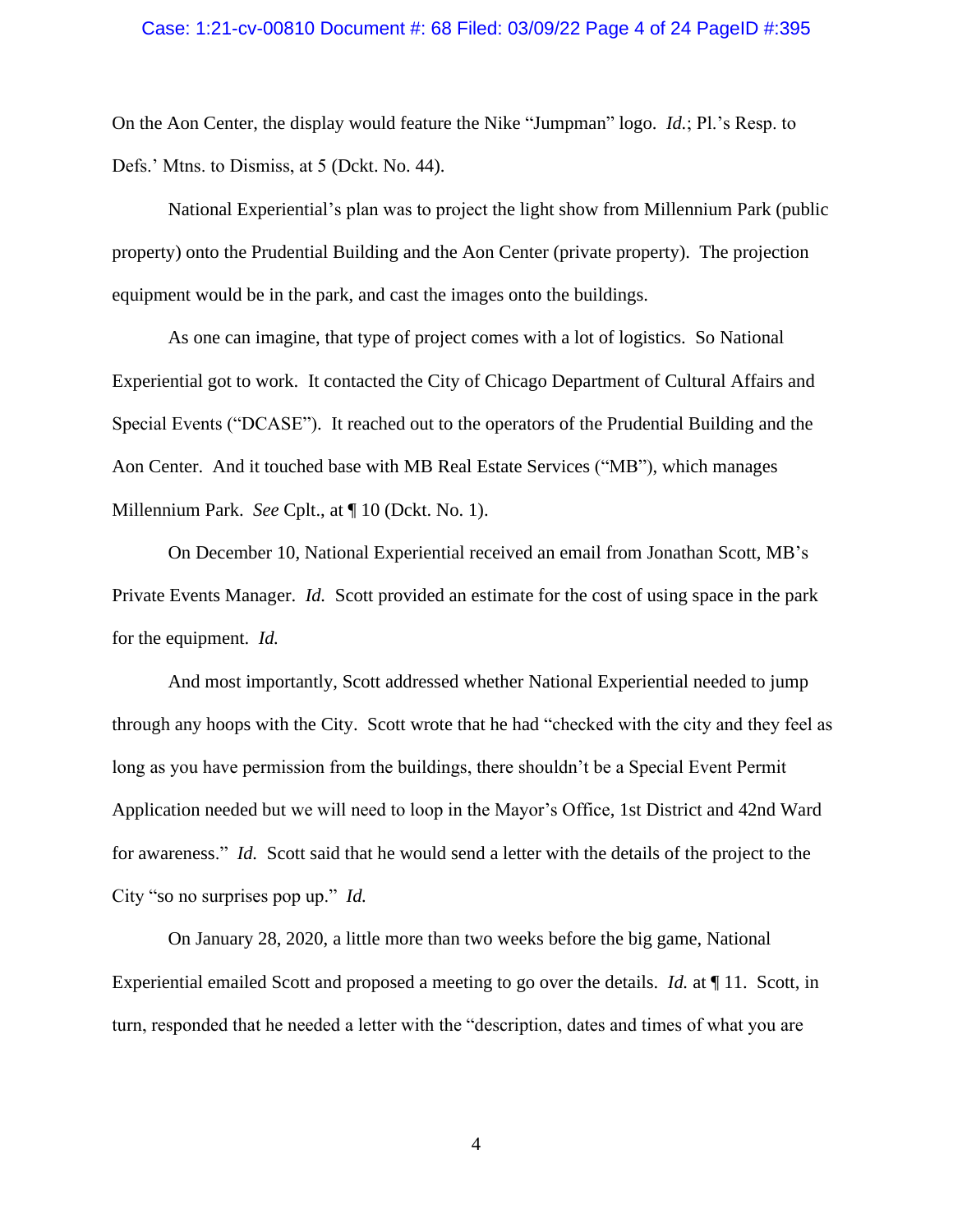### Case: 1:21-cv-00810 Document #: 68 Filed: 03/09/22 Page 4 of 24 PageID #:395

On the Aon Center, the display would feature the Nike "Jumpman" logo. *Id.*; Pl.'s Resp. to Defs.' Mtns. to Dismiss, at 5 (Dckt. No. 44).

National Experiential's plan was to project the light show from Millennium Park (public property) onto the Prudential Building and the Aon Center (private property). The projection equipment would be in the park, and cast the images onto the buildings.

As one can imagine, that type of project comes with a lot of logistics. So National Experiential got to work. It contacted the City of Chicago Department of Cultural Affairs and Special Events ("DCASE"). It reached out to the operators of the Prudential Building and the Aon Center. And it touched base with MB Real Estate Services ("MB"), which manages Millennium Park. *See* Cplt., at ¶ 10 (Dckt. No. 1).

On December 10, National Experiential received an email from Jonathan Scott, MB's Private Events Manager. *Id.* Scott provided an estimate for the cost of using space in the park for the equipment. *Id.*

And most importantly, Scott addressed whether National Experiential needed to jump through any hoops with the City. Scott wrote that he had "checked with the city and they feel as long as you have permission from the buildings, there shouldn't be a Special Event Permit Application needed but we will need to loop in the Mayor's Office, 1st District and 42nd Ward for awareness." *Id.* Scott said that he would send a letter with the details of the project to the City "so no surprises pop up." *Id.*

On January 28, 2020, a little more than two weeks before the big game, National Experiential emailed Scott and proposed a meeting to go over the details. *Id.* at ¶ 11. Scott, in turn, responded that he needed a letter with the "description, dates and times of what you are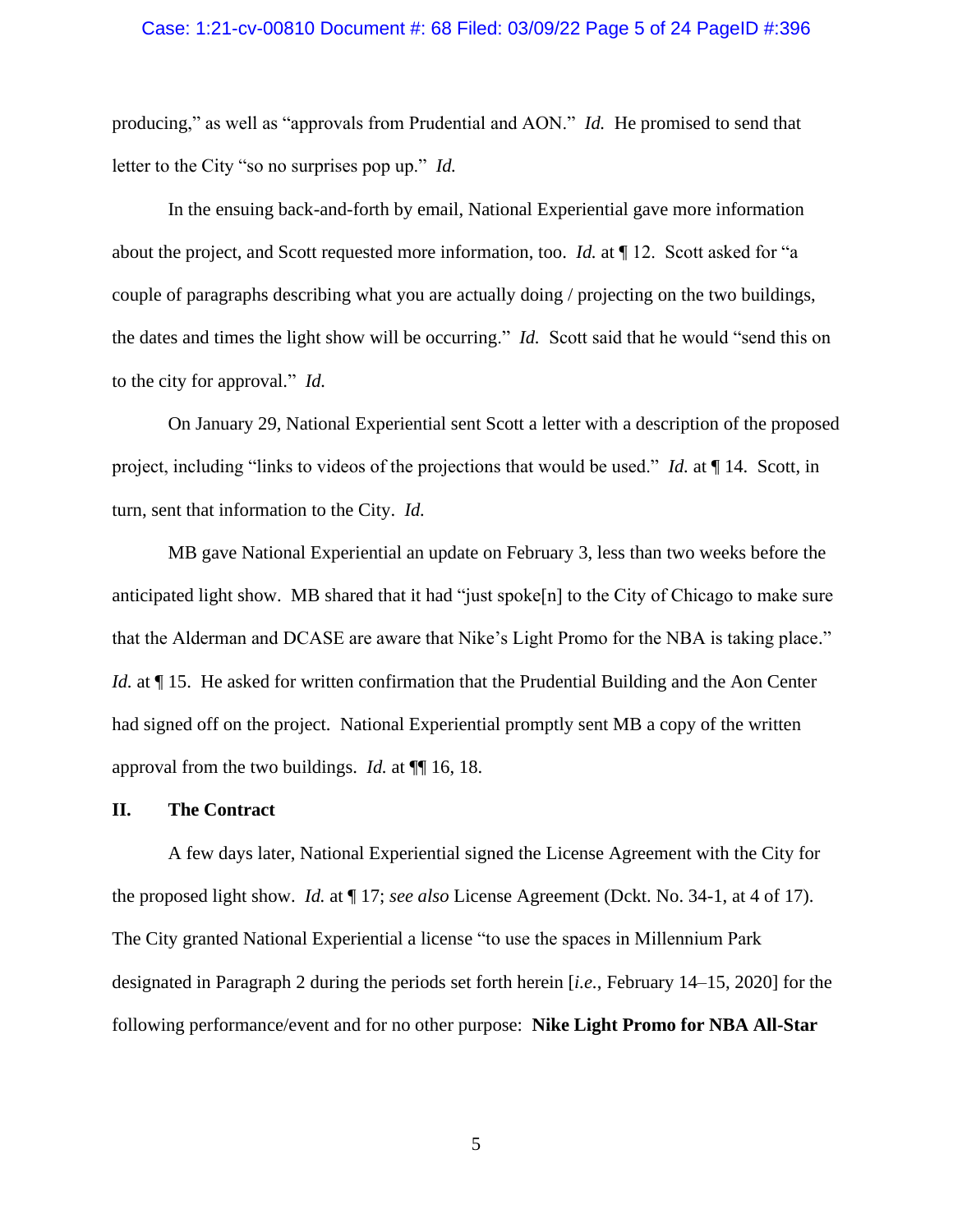### Case: 1:21-cv-00810 Document #: 68 Filed: 03/09/22 Page 5 of 24 PageID #:396

producing," as well as "approvals from Prudential and AON." *Id.* He promised to send that letter to the City "so no surprises pop up." *Id.*

In the ensuing back-and-forth by email, National Experiential gave more information about the project, and Scott requested more information, too. *Id.* at ¶ 12. Scott asked for "a couple of paragraphs describing what you are actually doing / projecting on the two buildings, the dates and times the light show will be occurring." *Id.* Scott said that he would "send this on to the city for approval." *Id.*

On January 29, National Experiential sent Scott a letter with a description of the proposed project, including "links to videos of the projections that would be used." *Id.* at ¶ 14. Scott, in turn, sent that information to the City. *Id.*

MB gave National Experiential an update on February 3, less than two weeks before the anticipated light show. MB shared that it had "just spoke[n] to the City of Chicago to make sure that the Alderman and DCASE are aware that Nike's Light Promo for the NBA is taking place." *Id.* at  $\P$  15. He asked for written confirmation that the Prudential Building and the Aon Center had signed off on the project. National Experiential promptly sent MB a copy of the written approval from the two buildings. *Id.* at ¶¶ 16, 18.

### **II. The Contract**

A few days later, National Experiential signed the License Agreement with the City for the proposed light show. *Id.* at ¶ 17; *see also* License Agreement (Dckt. No. 34-1, at 4 of 17). The City granted National Experiential a license "to use the spaces in Millennium Park designated in Paragraph 2 during the periods set forth herein [*i.e.*, February 14–15, 2020] for the following performance/event and for no other purpose: **Nike Light Promo for NBA All-Star**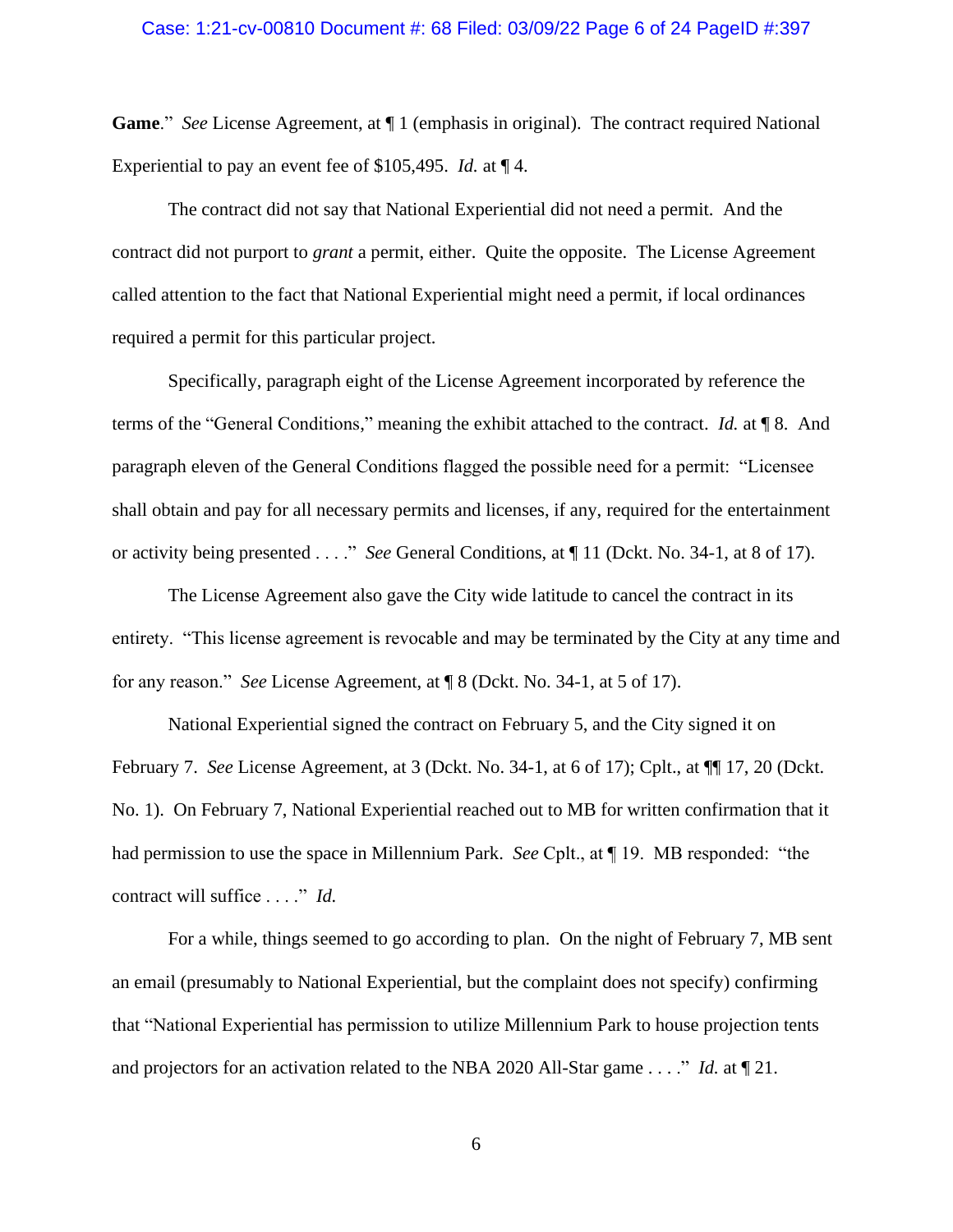### Case: 1:21-cv-00810 Document #: 68 Filed: 03/09/22 Page 6 of 24 PageID #:397

**Game**." *See* License Agreement, at ¶ 1 (emphasis in original). The contract required National Experiential to pay an event fee of \$105,495. *Id.* at ¶ 4.

The contract did not say that National Experiential did not need a permit. And the contract did not purport to *grant* a permit, either. Quite the opposite. The License Agreement called attention to the fact that National Experiential might need a permit, if local ordinances required a permit for this particular project.

Specifically, paragraph eight of the License Agreement incorporated by reference the terms of the "General Conditions," meaning the exhibit attached to the contract. *Id.* at ¶ 8. And paragraph eleven of the General Conditions flagged the possible need for a permit: "Licensee shall obtain and pay for all necessary permits and licenses, if any, required for the entertainment or activity being presented . . . ." *See* General Conditions, at ¶ 11 (Dckt. No. 34-1, at 8 of 17).

The License Agreement also gave the City wide latitude to cancel the contract in its entirety. "This license agreement is revocable and may be terminated by the City at any time and for any reason." *See* License Agreement, at ¶ 8 (Dckt. No. 34-1, at 5 of 17).

National Experiential signed the contract on February 5, and the City signed it on February 7. *See* License Agreement, at 3 (Dckt. No. 34-1, at 6 of 17); Cplt., at ¶¶ 17, 20 (Dckt. No. 1). On February 7, National Experiential reached out to MB for written confirmation that it had permission to use the space in Millennium Park. *See* Cplt., at ¶ 19. MB responded: "the contract will suffice . . . ." *Id.* 

For a while, things seemed to go according to plan. On the night of February 7, MB sent an email (presumably to National Experiential, but the complaint does not specify) confirming that "National Experiential has permission to utilize Millennium Park to house projection tents and projectors for an activation related to the NBA 2020 All-Star game . . . ." *Id.* at ¶ 21.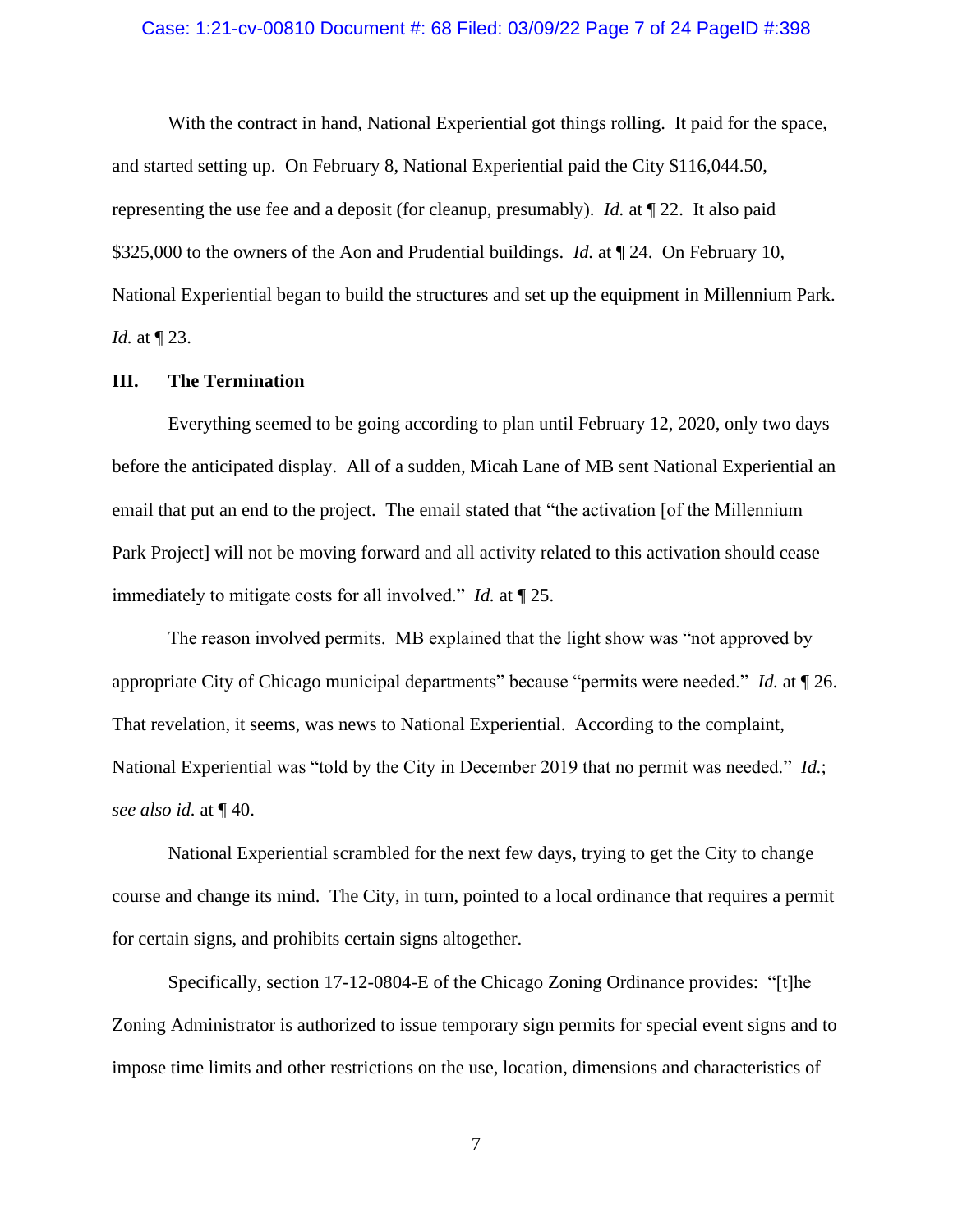### Case: 1:21-cv-00810 Document #: 68 Filed: 03/09/22 Page 7 of 24 PageID #:398

With the contract in hand, National Experiential got things rolling. It paid for the space, and started setting up. On February 8, National Experiential paid the City \$116,044.50, representing the use fee and a deposit (for cleanup, presumably). *Id.* at ¶ 22. It also paid \$325,000 to the owners of the Aon and Prudential buildings. *Id.* at  $\P$  24. On February 10, National Experiential began to build the structures and set up the equipment in Millennium Park. *Id.* at ¶ 23.

### **III. The Termination**

Everything seemed to be going according to plan until February 12, 2020, only two days before the anticipated display. All of a sudden, Micah Lane of MB sent National Experiential an email that put an end to the project. The email stated that "the activation [of the Millennium Park Project] will not be moving forward and all activity related to this activation should cease immediately to mitigate costs for all involved." *Id.* at ¶ 25.

The reason involved permits. MB explained that the light show was "not approved by appropriate City of Chicago municipal departments" because "permits were needed." *Id.* at ¶ 26. That revelation, it seems, was news to National Experiential. According to the complaint, National Experiential was "told by the City in December 2019 that no permit was needed." *Id.*; *see also id.* at ¶ 40.

National Experiential scrambled for the next few days, trying to get the City to change course and change its mind. The City, in turn, pointed to a local ordinance that requires a permit for certain signs, and prohibits certain signs altogether.

Specifically, section 17-12-0804-E of the Chicago Zoning Ordinance provides: "[t]he Zoning Administrator is authorized to issue temporary sign permits for special event signs and to impose time limits and other restrictions on the use, location, dimensions and characteristics of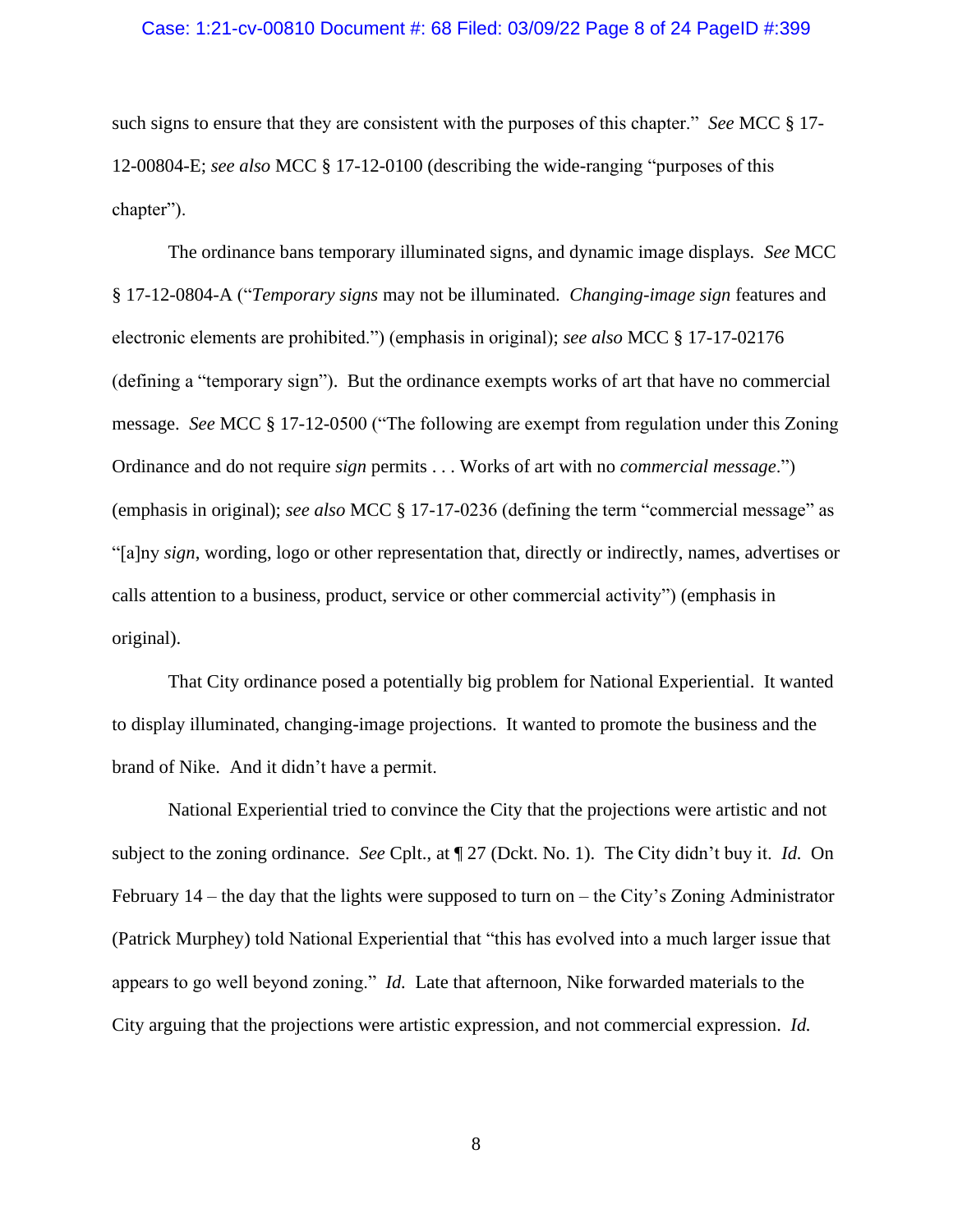### Case: 1:21-cv-00810 Document #: 68 Filed: 03/09/22 Page 8 of 24 PageID #:399

such signs to ensure that they are consistent with the purposes of this chapter." *See* MCC § 17- 12-00804-E; *see also* MCC § 17-12-0100 (describing the wide-ranging "purposes of this chapter").

The ordinance bans temporary illuminated signs, and dynamic image displays. *See* MCC § 17-12-0804-A ("*Temporary signs* may not be illuminated. *Changing-image sign* features and electronic elements are prohibited.") (emphasis in original); *see also* MCC § 17-17-02176 (defining a "temporary sign"). But the ordinance exempts works of art that have no commercial message. *See* MCC § 17-12-0500 ("The following are exempt from regulation under this Zoning Ordinance and do not require *sign* permits . . . Works of art with no *commercial message*.") (emphasis in original); *see also* MCC § 17-17-0236 (defining the term "commercial message" as "[a]ny *sign*, wording, logo or other representation that, directly or indirectly, names, advertises or calls attention to a business, product, service or other commercial activity") (emphasis in original).

That City ordinance posed a potentially big problem for National Experiential. It wanted to display illuminated, changing-image projections. It wanted to promote the business and the brand of Nike. And it didn't have a permit.

National Experiential tried to convince the City that the projections were artistic and not subject to the zoning ordinance. *See* Cplt., at ¶ 27 (Dckt. No. 1). The City didn't buy it. *Id.* On February 14 – the day that the lights were supposed to turn on – the City's Zoning Administrator (Patrick Murphey) told National Experiential that "this has evolved into a much larger issue that appears to go well beyond zoning." *Id.* Late that afternoon, Nike forwarded materials to the City arguing that the projections were artistic expression, and not commercial expression. *Id.*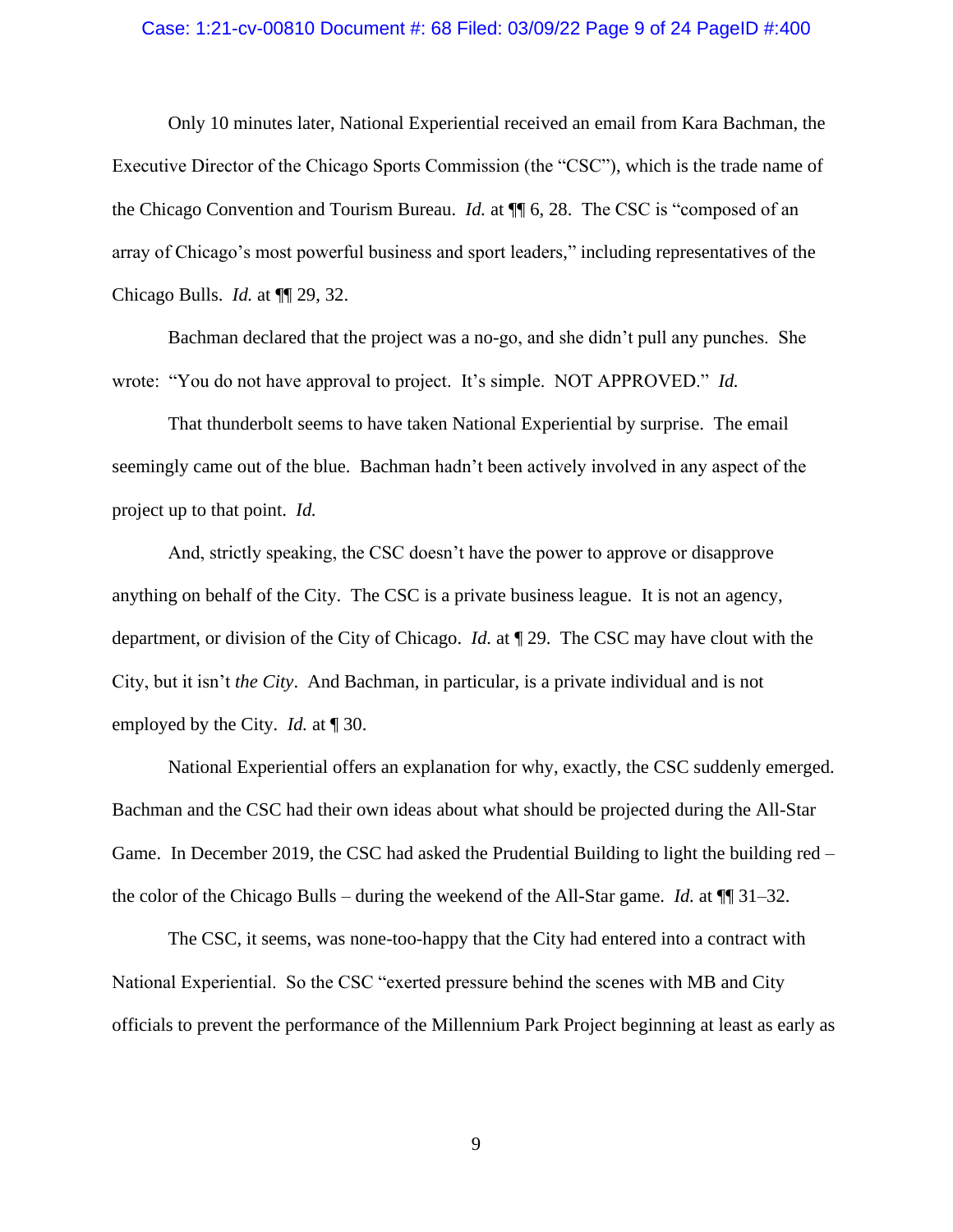### Case: 1:21-cv-00810 Document #: 68 Filed: 03/09/22 Page 9 of 24 PageID #:400

Only 10 minutes later, National Experiential received an email from Kara Bachman, the Executive Director of the Chicago Sports Commission (the "CSC"), which is the trade name of the Chicago Convention and Tourism Bureau. *Id.* at ¶¶ 6, 28. The CSC is "composed of an array of Chicago's most powerful business and sport leaders," including representatives of the Chicago Bulls. *Id.* at ¶¶ 29, 32.

Bachman declared that the project was a no-go, and she didn't pull any punches. She wrote: "You do not have approval to project. It's simple. NOT APPROVED." *Id.*

That thunderbolt seems to have taken National Experiential by surprise. The email seemingly came out of the blue. Bachman hadn't been actively involved in any aspect of the project up to that point. *Id.*

And, strictly speaking, the CSC doesn't have the power to approve or disapprove anything on behalf of the City. The CSC is a private business league. It is not an agency, department, or division of the City of Chicago. *Id.* at ¶ 29. The CSC may have clout with the City, but it isn't *the City*. And Bachman, in particular, is a private individual and is not employed by the City. *Id.* at ¶ 30.

National Experiential offers an explanation for why, exactly, the CSC suddenly emerged. Bachman and the CSC had their own ideas about what should be projected during the All-Star Game. In December 2019, the CSC had asked the Prudential Building to light the building red – the color of the Chicago Bulls – during the weekend of the All-Star game. *Id.* at ¶¶ 31–32.

The CSC, it seems, was none-too-happy that the City had entered into a contract with National Experiential. So the CSC "exerted pressure behind the scenes with MB and City officials to prevent the performance of the Millennium Park Project beginning at least as early as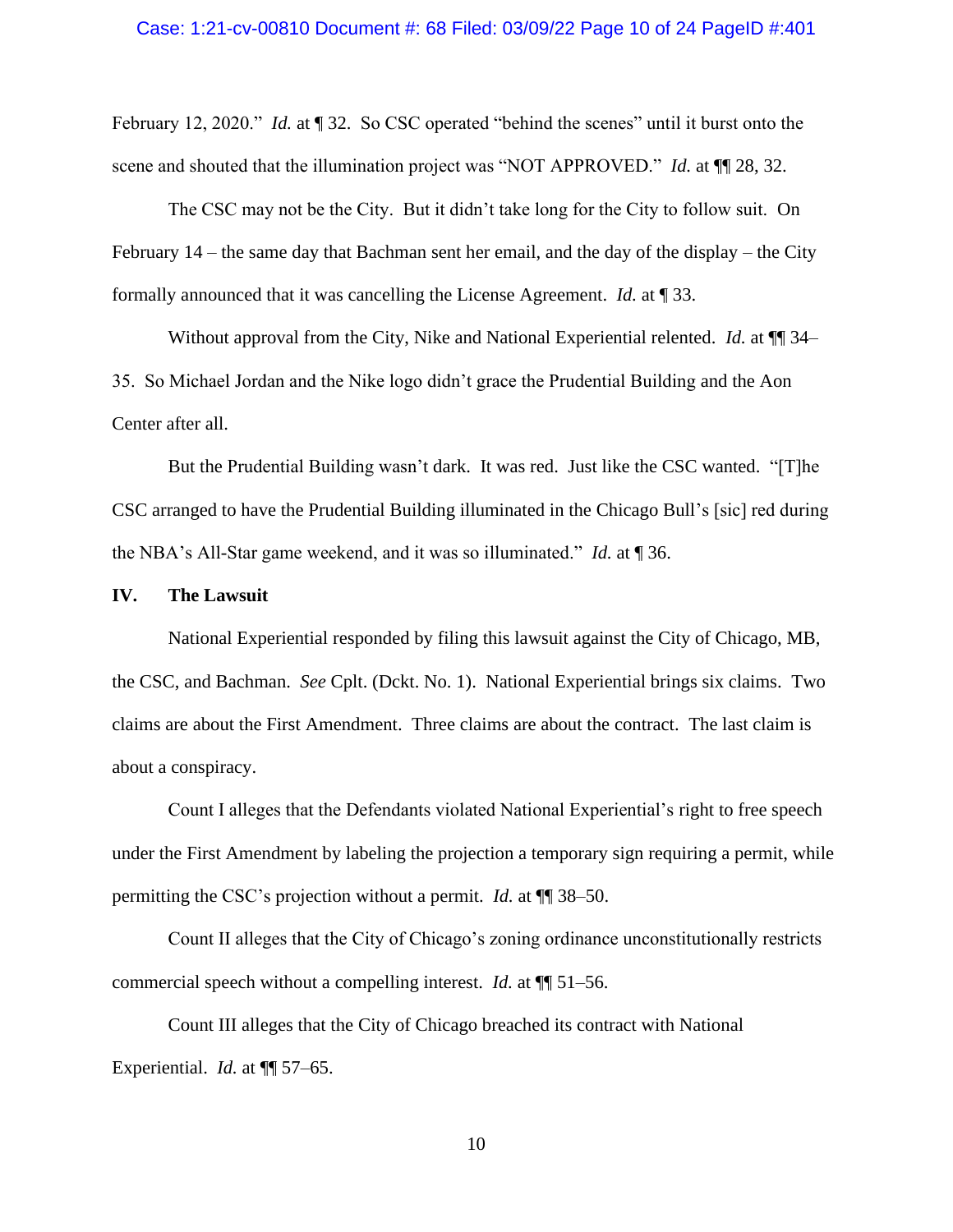February 12, 2020." *Id.* at ¶ 32. So CSC operated "behind the scenes" until it burst onto the scene and shouted that the illumination project was "NOT APPROVED." *Id.* at  $\P$ [28, 32.

The CSC may not be the City. But it didn't take long for the City to follow suit. On February 14 – the same day that Bachman sent her email, and the day of the display – the City formally announced that it was cancelling the License Agreement. *Id.* at ¶ 33.

Without approval from the City, Nike and National Experiential relented. *Id.* at ¶¶ 34– 35. So Michael Jordan and the Nike logo didn't grace the Prudential Building and the Aon Center after all.

But the Prudential Building wasn't dark. It was red. Just like the CSC wanted. "[T]he CSC arranged to have the Prudential Building illuminated in the Chicago Bull's [sic] red during the NBA's All-Star game weekend, and it was so illuminated." *Id.* at ¶ 36.

### **IV. The Lawsuit**

National Experiential responded by filing this lawsuit against the City of Chicago, MB, the CSC, and Bachman. *See* Cplt. (Dckt. No. 1). National Experiential brings six claims. Two claims are about the First Amendment. Three claims are about the contract. The last claim is about a conspiracy.

Count I alleges that the Defendants violated National Experiential's right to free speech under the First Amendment by labeling the projection a temporary sign requiring a permit, while permitting the CSC's projection without a permit. *Id.* at ¶¶ 38–50.

Count II alleges that the City of Chicago's zoning ordinance unconstitutionally restricts commercial speech without a compelling interest. *Id.* at ¶¶ 51–56.

Count III alleges that the City of Chicago breached its contract with National Experiential. *Id.* at ¶¶ 57–65.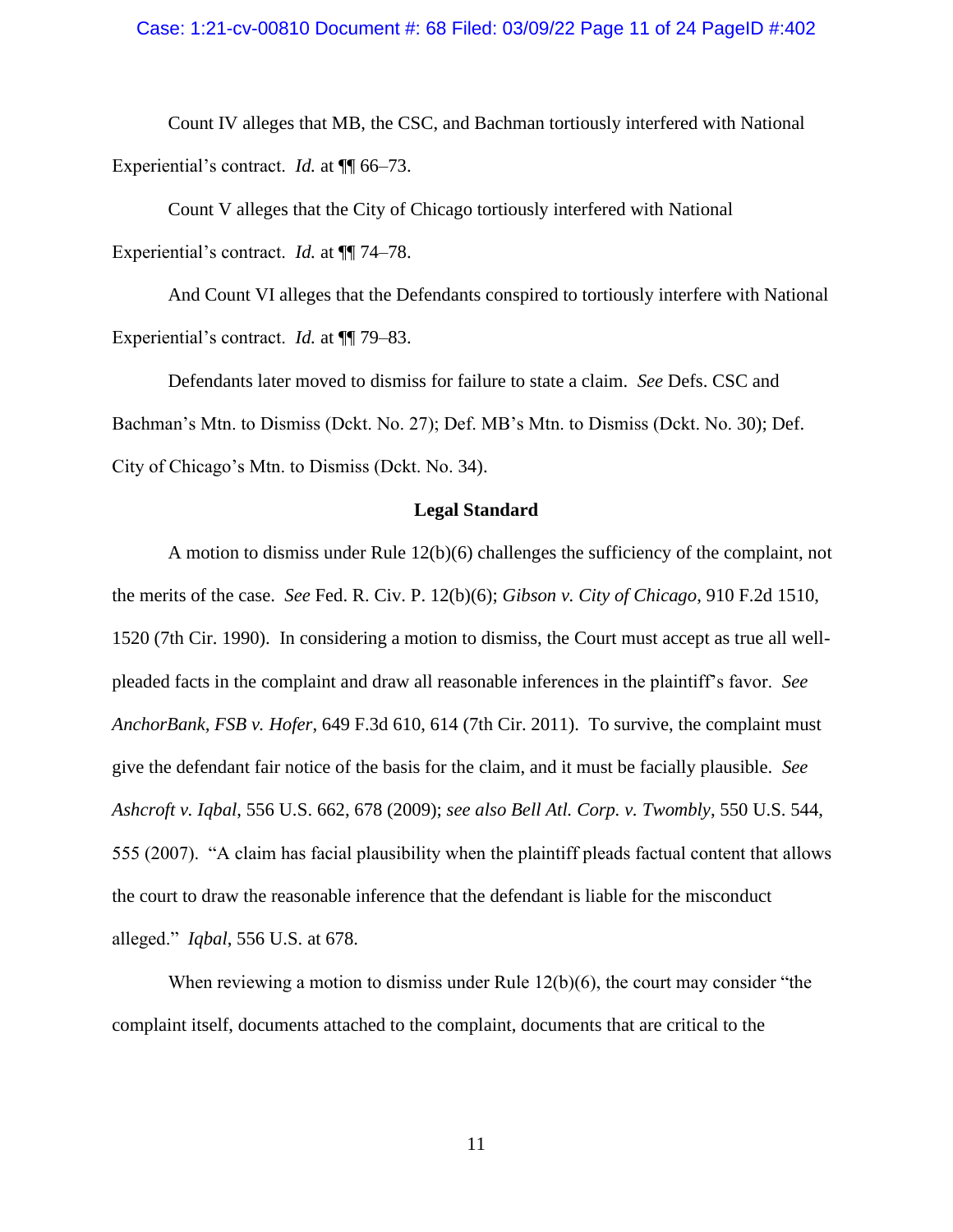### Case: 1:21-cv-00810 Document #: 68 Filed: 03/09/22 Page 11 of 24 PageID #:402

Count IV alleges that MB, the CSC, and Bachman tortiously interfered with National Experiential's contract. *Id.* at  $\P$  66–73.

Count V alleges that the City of Chicago tortiously interfered with National Experiential's contract. *Id.* at ¶¶ 74–78.

And Count VI alleges that the Defendants conspired to tortiously interfere with National Experiential's contract. *Id.* at ¶¶ 79–83.

Defendants later moved to dismiss for failure to state a claim. *See* Defs. CSC and Bachman's Mtn. to Dismiss (Dckt. No. 27); Def. MB's Mtn. to Dismiss (Dckt. No. 30); Def. City of Chicago's Mtn. to Dismiss (Dckt. No. 34).

#### **Legal Standard**

A motion to dismiss under Rule 12(b)(6) challenges the sufficiency of the complaint, not the merits of the case. *See* Fed. R. Civ. P. 12(b)(6); *Gibson v. City of Chicago*, 910 F.2d 1510, 1520 (7th Cir. 1990). In considering a motion to dismiss, the Court must accept as true all wellpleaded facts in the complaint and draw all reasonable inferences in the plaintiff's favor. *See AnchorBank, FSB v. Hofer*, 649 F.3d 610, 614 (7th Cir. 2011). To survive, the complaint must give the defendant fair notice of the basis for the claim, and it must be facially plausible. *See Ashcroft v. Iqbal*, 556 U.S. 662, 678 (2009); *see also Bell Atl. Corp. v. Twombly*, 550 U.S. 544, 555 (2007). "A claim has facial plausibility when the plaintiff pleads factual content that allows the court to draw the reasonable inference that the defendant is liable for the misconduct alleged." *Iqbal*, 556 U.S. at 678.

When reviewing a motion to dismiss under Rule  $12(b)(6)$ , the court may consider "the complaint itself, documents attached to the complaint, documents that are critical to the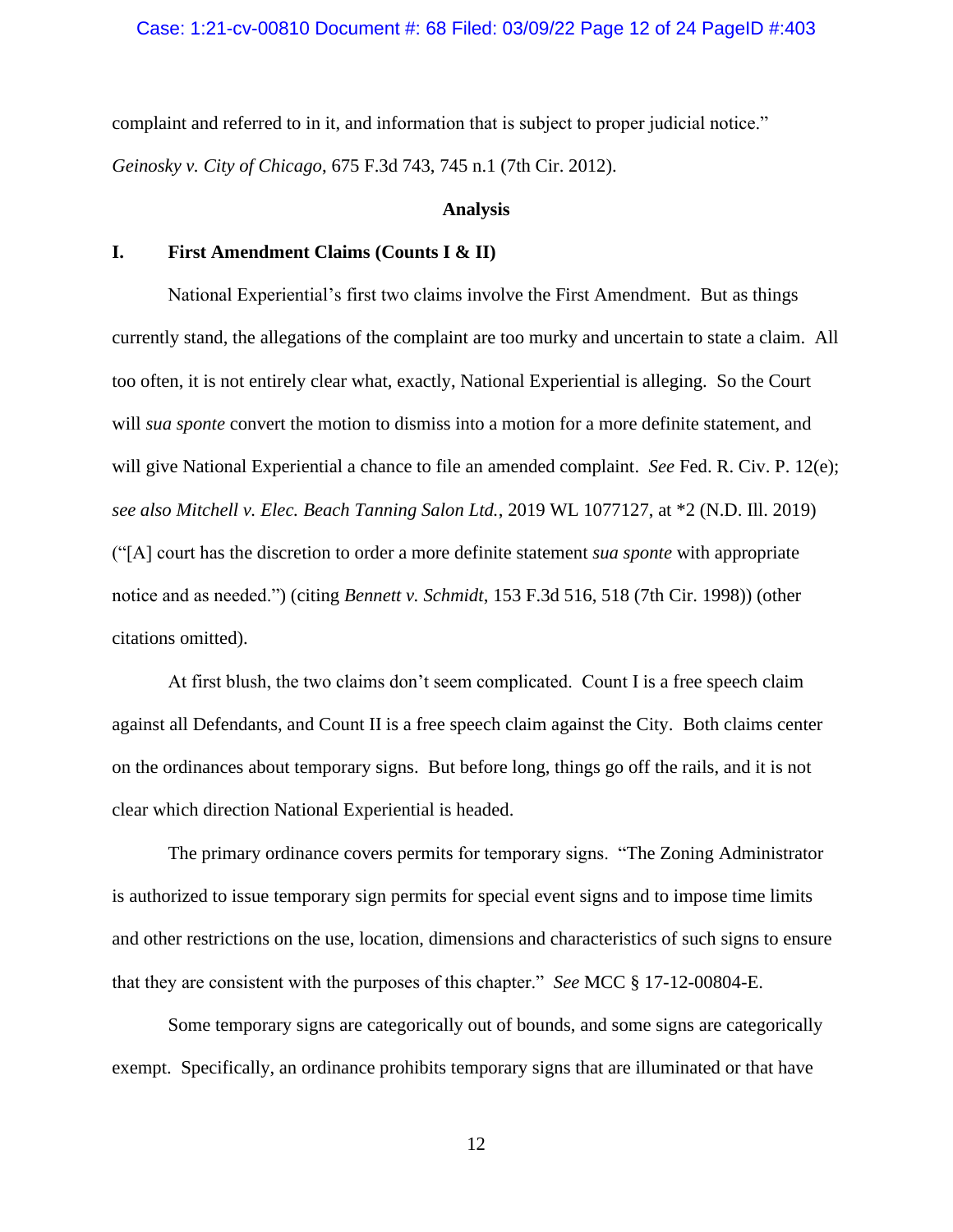# Case: 1:21-cv-00810 Document #: 68 Filed: 03/09/22 Page 12 of 24 PageID #:403

complaint and referred to in it, and information that is subject to proper judicial notice." *Geinosky v. City of Chicago*, 675 F.3d 743, 745 n.1 (7th Cir. 2012).

#### **Analysis**

# **I. First Amendment Claims (Counts I & II)**

National Experiential's first two claims involve the First Amendment. But as things currently stand, the allegations of the complaint are too murky and uncertain to state a claim. All too often, it is not entirely clear what, exactly, National Experiential is alleging. So the Court will *sua sponte* convert the motion to dismiss into a motion for a more definite statement, and will give National Experiential a chance to file an amended complaint. *See* Fed. R. Civ. P. 12(e); *see also Mitchell v. Elec. Beach Tanning Salon Ltd.*, 2019 WL 1077127, at \*2 (N.D. Ill. 2019) ("[A] court has the discretion to order a more definite statement *sua sponte* with appropriate notice and as needed.") (citing *Bennett v. Schmidt*, 153 F.3d 516, 518 (7th Cir. 1998)) (other citations omitted).

At first blush, the two claims don't seem complicated. Count I is a free speech claim against all Defendants, and Count II is a free speech claim against the City. Both claims center on the ordinances about temporary signs. But before long, things go off the rails, and it is not clear which direction National Experiential is headed.

The primary ordinance covers permits for temporary signs. "The Zoning Administrator is authorized to issue temporary sign permits for special event signs and to impose time limits and other restrictions on the use, location, dimensions and characteristics of such signs to ensure that they are consistent with the purposes of this chapter." *See* MCC § 17-12-00804-E.

Some temporary signs are categorically out of bounds, and some signs are categorically exempt. Specifically, an ordinance prohibits temporary signs that are illuminated or that have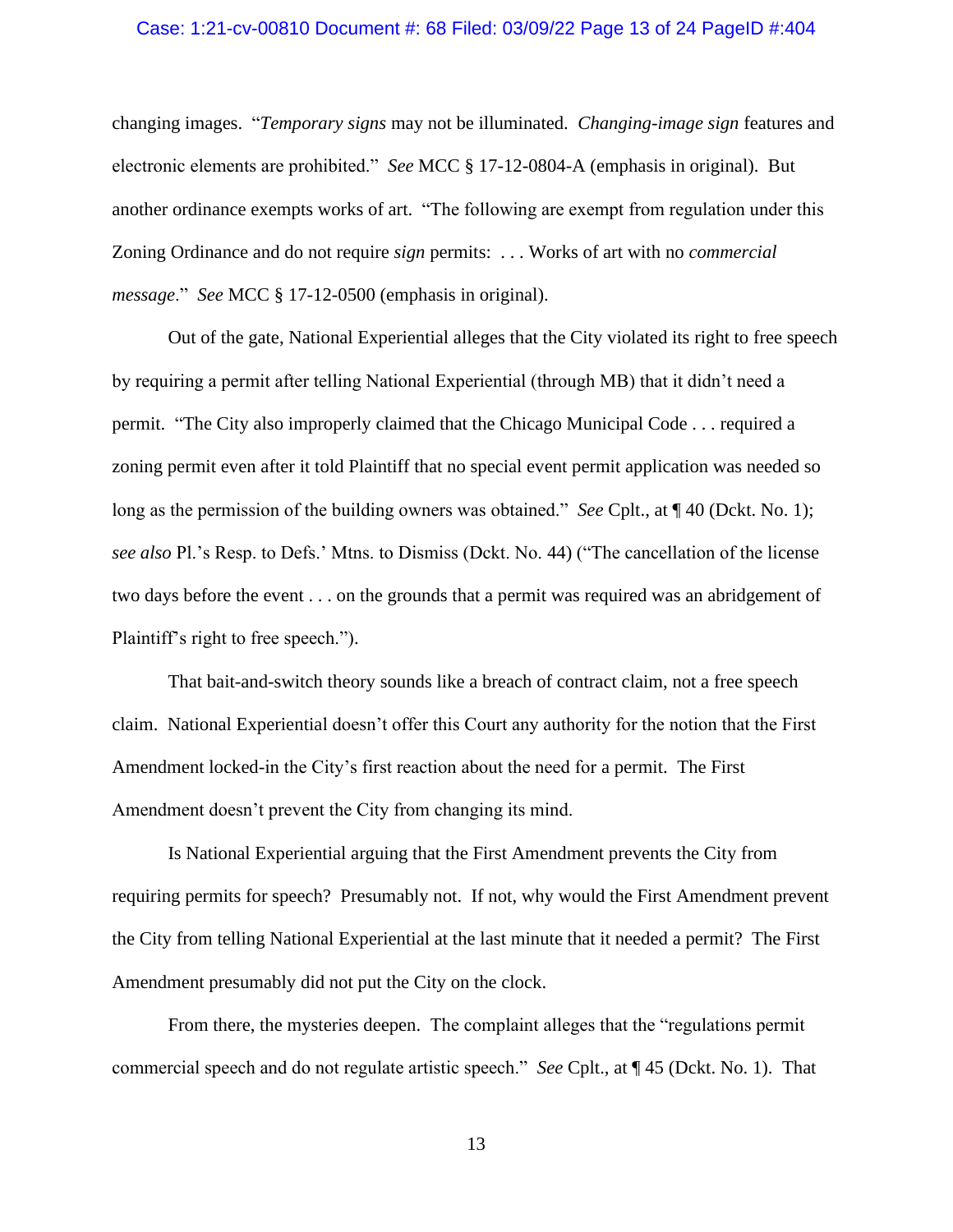### Case: 1:21-cv-00810 Document #: 68 Filed: 03/09/22 Page 13 of 24 PageID #:404

changing images. "*Temporary signs* may not be illuminated. *Changing-image sign* features and electronic elements are prohibited." *See* MCC § 17-12-0804-A (emphasis in original). But another ordinance exempts works of art. "The following are exempt from regulation under this Zoning Ordinance and do not require *sign* permits: . . . Works of art with no *commercial message*." *See* MCC § 17-12-0500 (emphasis in original).

Out of the gate, National Experiential alleges that the City violated its right to free speech by requiring a permit after telling National Experiential (through MB) that it didn't need a permit. "The City also improperly claimed that the Chicago Municipal Code . . . required a zoning permit even after it told Plaintiff that no special event permit application was needed so long as the permission of the building owners was obtained." *See* Cplt., at  $\P$  40 (Dckt. No. 1); *see also* Pl.'s Resp. to Defs.' Mtns. to Dismiss (Dckt. No. 44) ("The cancellation of the license two days before the event . . . on the grounds that a permit was required was an abridgement of Plaintiff's right to free speech.").

That bait-and-switch theory sounds like a breach of contract claim, not a free speech claim. National Experiential doesn't offer this Court any authority for the notion that the First Amendment locked-in the City's first reaction about the need for a permit. The First Amendment doesn't prevent the City from changing its mind.

Is National Experiential arguing that the First Amendment prevents the City from requiring permits for speech? Presumably not. If not, why would the First Amendment prevent the City from telling National Experiential at the last minute that it needed a permit? The First Amendment presumably did not put the City on the clock.

From there, the mysteries deepen. The complaint alleges that the "regulations permit commercial speech and do not regulate artistic speech." *See* Cplt., at ¶ 45 (Dckt. No. 1). That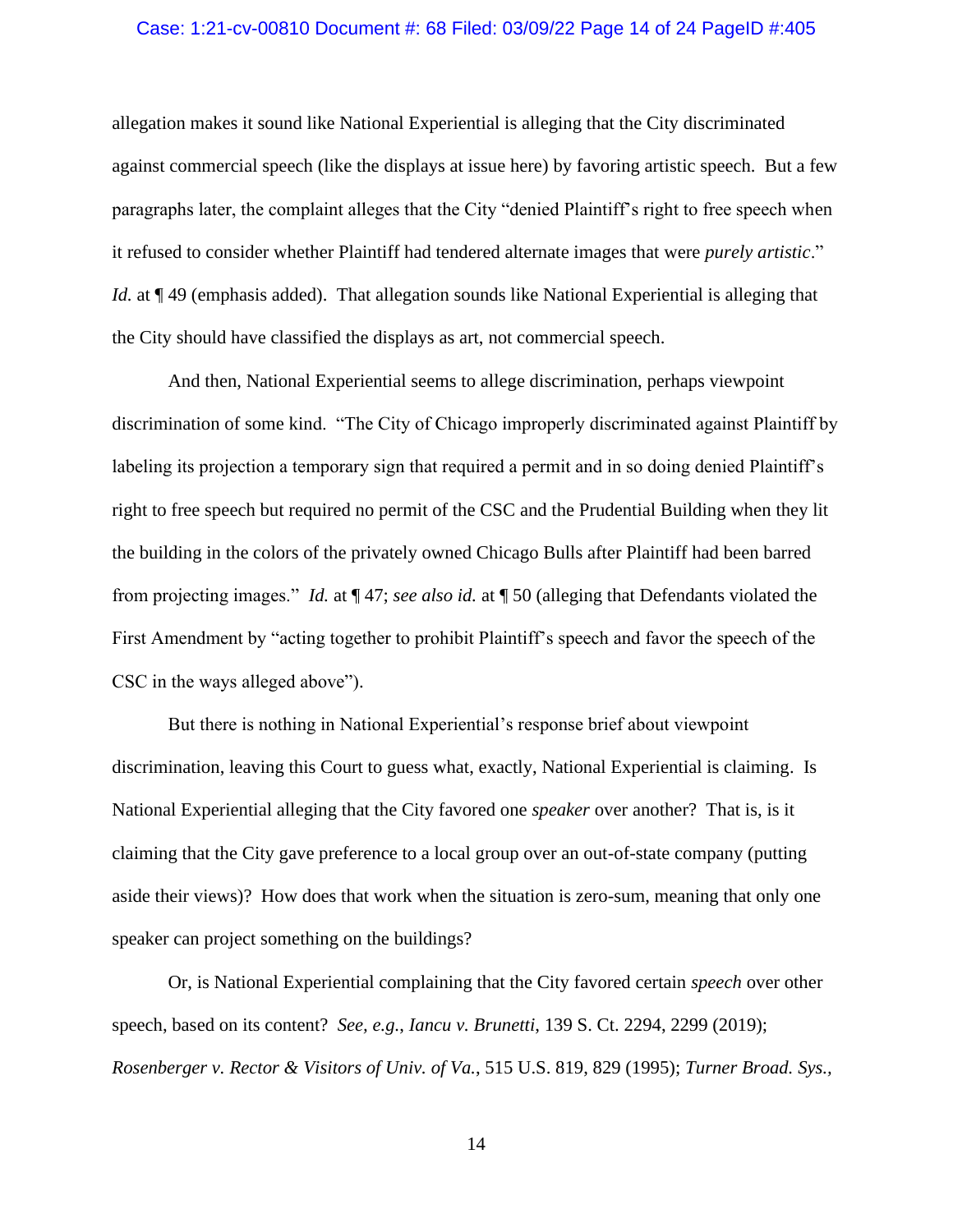### Case: 1:21-cv-00810 Document #: 68 Filed: 03/09/22 Page 14 of 24 PageID #:405

allegation makes it sound like National Experiential is alleging that the City discriminated against commercial speech (like the displays at issue here) by favoring artistic speech. But a few paragraphs later, the complaint alleges that the City "denied Plaintiff's right to free speech when it refused to consider whether Plaintiff had tendered alternate images that were *purely artistic*." *Id.* at  $\P$  49 (emphasis added). That allegation sounds like National Experiential is alleging that the City should have classified the displays as art, not commercial speech.

And then, National Experiential seems to allege discrimination, perhaps viewpoint discrimination of some kind. "The City of Chicago improperly discriminated against Plaintiff by labeling its projection a temporary sign that required a permit and in so doing denied Plaintiff's right to free speech but required no permit of the CSC and the Prudential Building when they lit the building in the colors of the privately owned Chicago Bulls after Plaintiff had been barred from projecting images." *Id.* at ¶ 47; *see also id.* at ¶ 50 (alleging that Defendants violated the First Amendment by "acting together to prohibit Plaintiff's speech and favor the speech of the CSC in the ways alleged above").

But there is nothing in National Experiential's response brief about viewpoint discrimination, leaving this Court to guess what, exactly, National Experiential is claiming. Is National Experiential alleging that the City favored one *speaker* over another? That is, is it claiming that the City gave preference to a local group over an out-of-state company (putting aside their views)? How does that work when the situation is zero-sum, meaning that only one speaker can project something on the buildings?

Or, is National Experiential complaining that the City favored certain *speech* over other speech, based on its content? *See, e.g.*, *Iancu v. Brunetti*, 139 S. Ct. 2294, 2299 (2019); *Rosenberger v. Rector & Visitors of Univ. of Va.*, 515 U.S. 819, 829 (1995); *Turner Broad. Sys.,*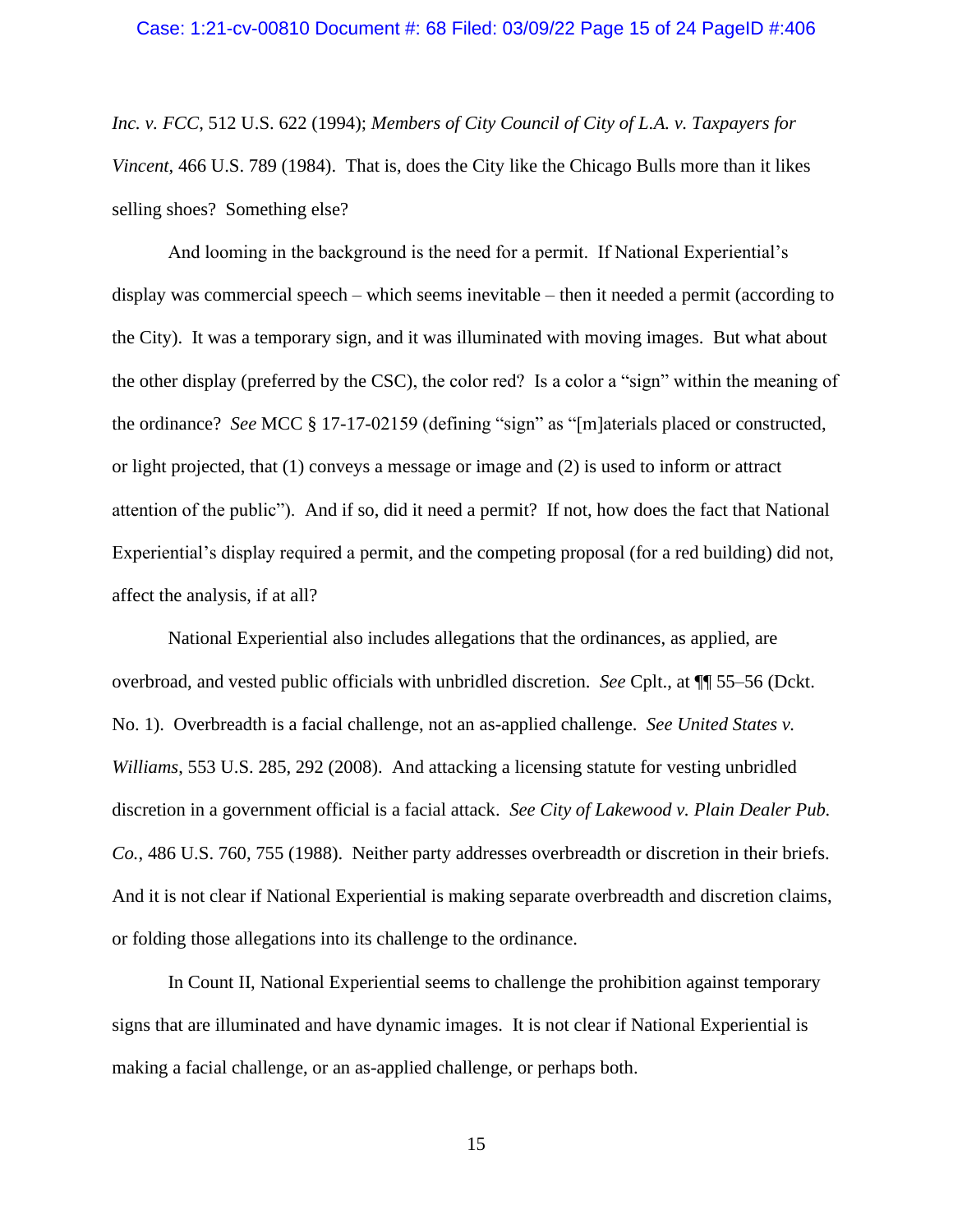*Inc. v. FCC*, 512 U.S. 622 (1994); *Members of City Council of City of L.A. v. Taxpayers for Vincent*, 466 U.S. 789 (1984). That is, does the City like the Chicago Bulls more than it likes selling shoes? Something else?

And looming in the background is the need for a permit. If National Experiential's display was commercial speech – which seems inevitable – then it needed a permit (according to the City). It was a temporary sign, and it was illuminated with moving images. But what about the other display (preferred by the CSC), the color red? Is a color a "sign" within the meaning of the ordinance? *See* MCC § 17-17-02159 (defining "sign" as "[m]aterials placed or constructed, or light projected, that (1) conveys a message or image and (2) is used to inform or attract attention of the public"). And if so, did it need a permit? If not, how does the fact that National Experiential's display required a permit, and the competing proposal (for a red building) did not, affect the analysis, if at all?

National Experiential also includes allegations that the ordinances, as applied, are overbroad, and vested public officials with unbridled discretion. *See* Cplt., at ¶¶ 55–56 (Dckt. No. 1). Overbreadth is a facial challenge, not an as-applied challenge. *See United States v. Williams*, 553 U.S. 285, 292 (2008). And attacking a licensing statute for vesting unbridled discretion in a government official is a facial attack. *See City of Lakewood v. Plain Dealer Pub. Co.*, 486 U.S. 760, 755 (1988). Neither party addresses overbreadth or discretion in their briefs. And it is not clear if National Experiential is making separate overbreadth and discretion claims, or folding those allegations into its challenge to the ordinance.

In Count II, National Experiential seems to challenge the prohibition against temporary signs that are illuminated and have dynamic images. It is not clear if National Experiential is making a facial challenge, or an as-applied challenge, or perhaps both.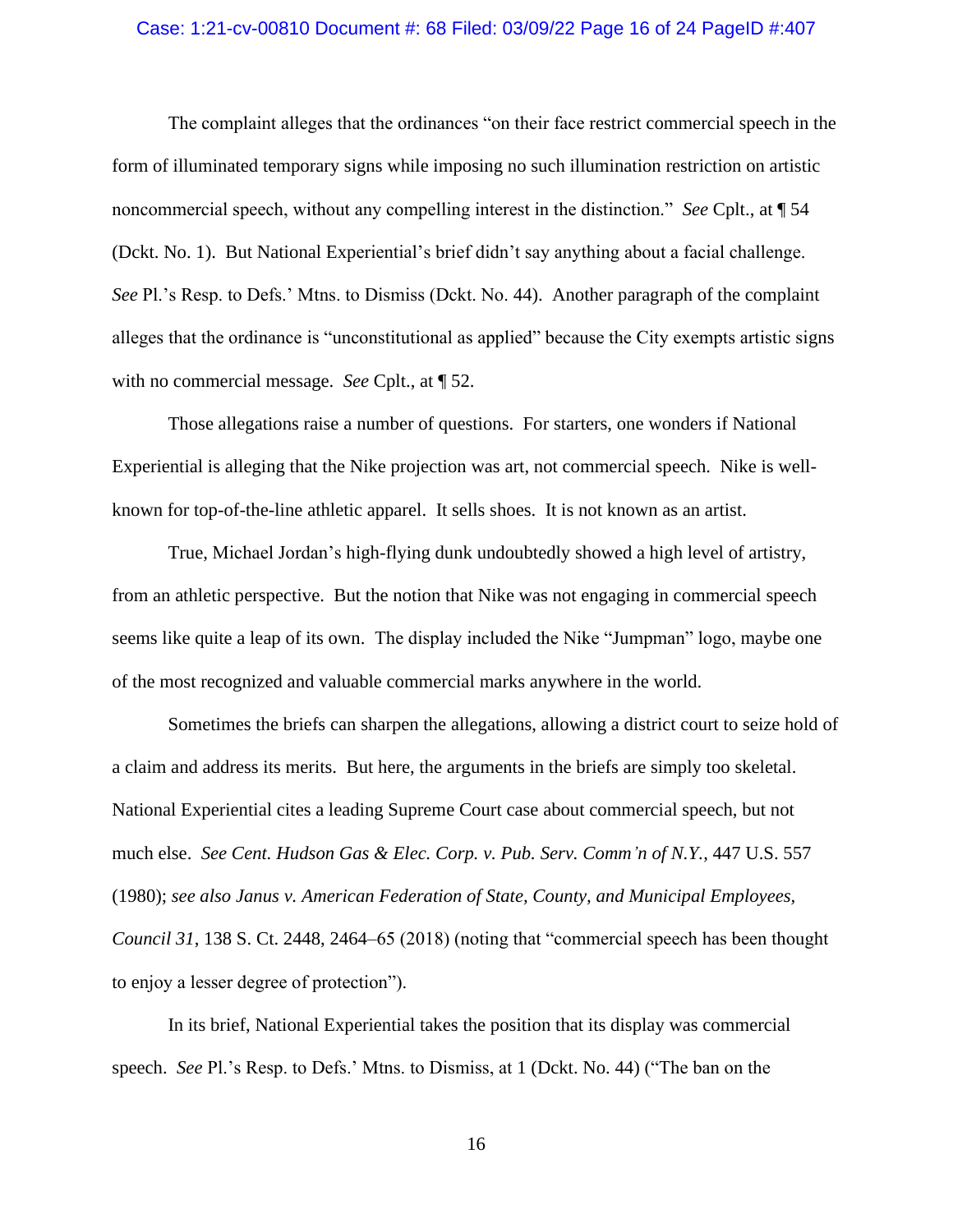### Case: 1:21-cv-00810 Document #: 68 Filed: 03/09/22 Page 16 of 24 PageID #:407

The complaint alleges that the ordinances "on their face restrict commercial speech in the form of illuminated temporary signs while imposing no such illumination restriction on artistic noncommercial speech, without any compelling interest in the distinction." *See* Cplt., at ¶ 54 (Dckt. No. 1). But National Experiential's brief didn't say anything about a facial challenge. *See* Pl.'s Resp. to Defs.' Mtns. to Dismiss (Dckt. No. 44). Another paragraph of the complaint alleges that the ordinance is "unconstitutional as applied" because the City exempts artistic signs with no commercial message. *See* Cplt., at ¶ 52.

Those allegations raise a number of questions. For starters, one wonders if National Experiential is alleging that the Nike projection was art, not commercial speech. Nike is wellknown for top-of-the-line athletic apparel. It sells shoes. It is not known as an artist.

True, Michael Jordan's high-flying dunk undoubtedly showed a high level of artistry, from an athletic perspective. But the notion that Nike was not engaging in commercial speech seems like quite a leap of its own. The display included the Nike "Jumpman" logo, maybe one of the most recognized and valuable commercial marks anywhere in the world.

Sometimes the briefs can sharpen the allegations, allowing a district court to seize hold of a claim and address its merits. But here, the arguments in the briefs are simply too skeletal. National Experiential cites a leading Supreme Court case about commercial speech, but not much else. *See Cent. Hudson Gas & Elec. Corp. v. Pub. Serv. Comm'n of N.Y.*, 447 U.S. 557 (1980); *see also Janus v. American Federation of State, County, and Municipal Employees, Council 31*, 138 S. Ct. 2448, 2464–65 (2018) (noting that "commercial speech has been thought to enjoy a lesser degree of protection").

In its brief, National Experiential takes the position that its display was commercial speech. *See* Pl.'s Resp. to Defs.' Mtns. to Dismiss, at 1 (Dckt. No. 44) ("The ban on the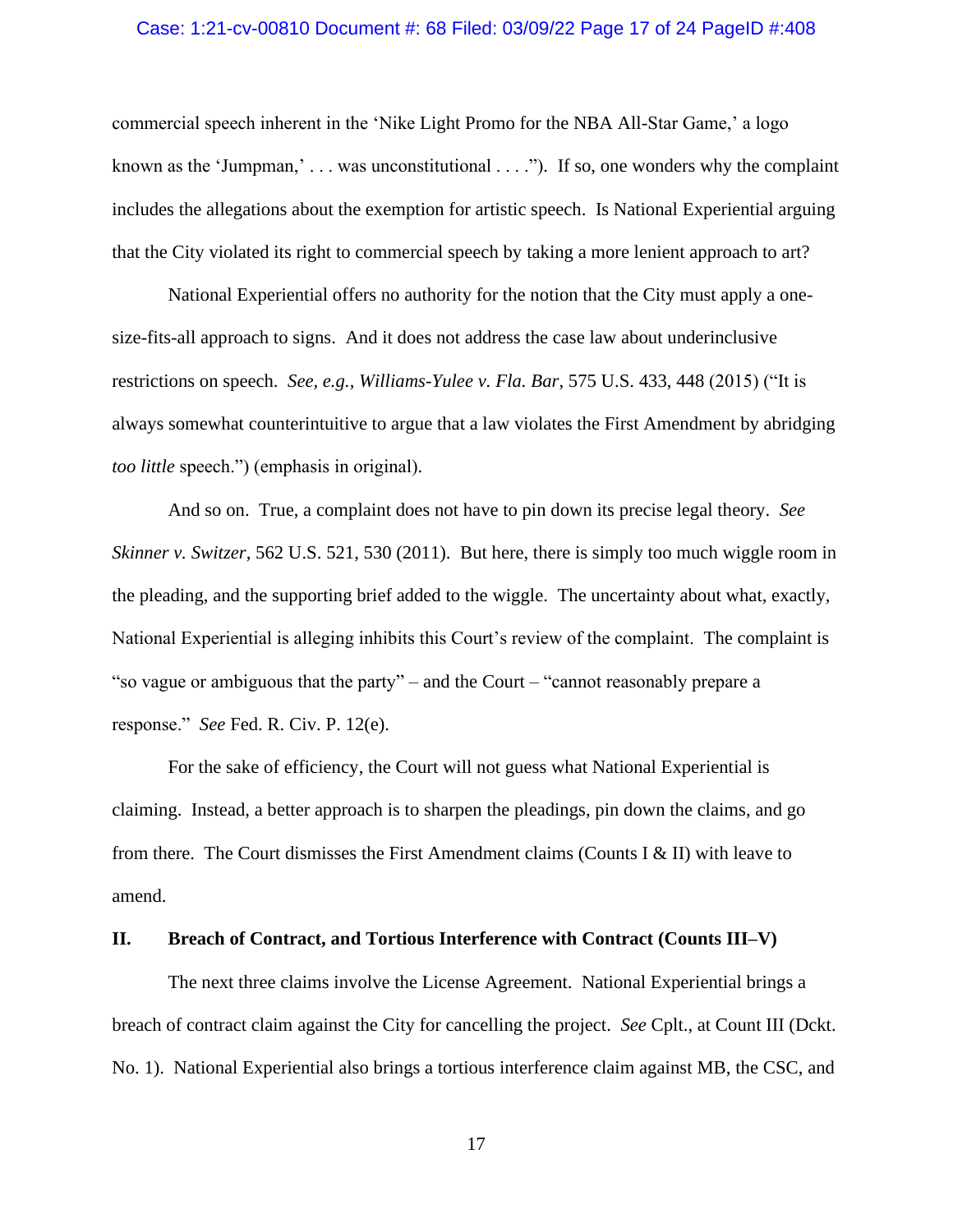### Case: 1:21-cv-00810 Document #: 68 Filed: 03/09/22 Page 17 of 24 PageID #:408

commercial speech inherent in the 'Nike Light Promo for the NBA All-Star Game,' a logo known as the 'Jumpman,'  $\dots$  was unconstitutional  $\dots$ "). If so, one wonders why the complaint includes the allegations about the exemption for artistic speech. Is National Experiential arguing that the City violated its right to commercial speech by taking a more lenient approach to art?

National Experiential offers no authority for the notion that the City must apply a onesize-fits-all approach to signs. And it does not address the case law about underinclusive restrictions on speech. *See, e.g.*, *Williams-Yulee v. Fla. Bar*, 575 U.S. 433, 448 (2015) ("It is always somewhat counterintuitive to argue that a law violates the First Amendment by abridging *too little* speech.") (emphasis in original).

And so on. True, a complaint does not have to pin down its precise legal theory. *See Skinner v. Switzer*, 562 U.S. 521, 530 (2011). But here, there is simply too much wiggle room in the pleading, and the supporting brief added to the wiggle. The uncertainty about what, exactly, National Experiential is alleging inhibits this Court's review of the complaint. The complaint is "so vague or ambiguous that the party" – and the Court – "cannot reasonably prepare a response." *See* Fed. R. Civ. P. 12(e).

For the sake of efficiency, the Court will not guess what National Experiential is claiming. Instead, a better approach is to sharpen the pleadings, pin down the claims, and go from there. The Court dismisses the First Amendment claims (Counts I & II) with leave to amend.

### **II. Breach of Contract, and Tortious Interference with Contract (Counts III–V)**

The next three claims involve the License Agreement. National Experiential brings a breach of contract claim against the City for cancelling the project. *See* Cplt., at Count III (Dckt. No. 1). National Experiential also brings a tortious interference claim against MB, the CSC, and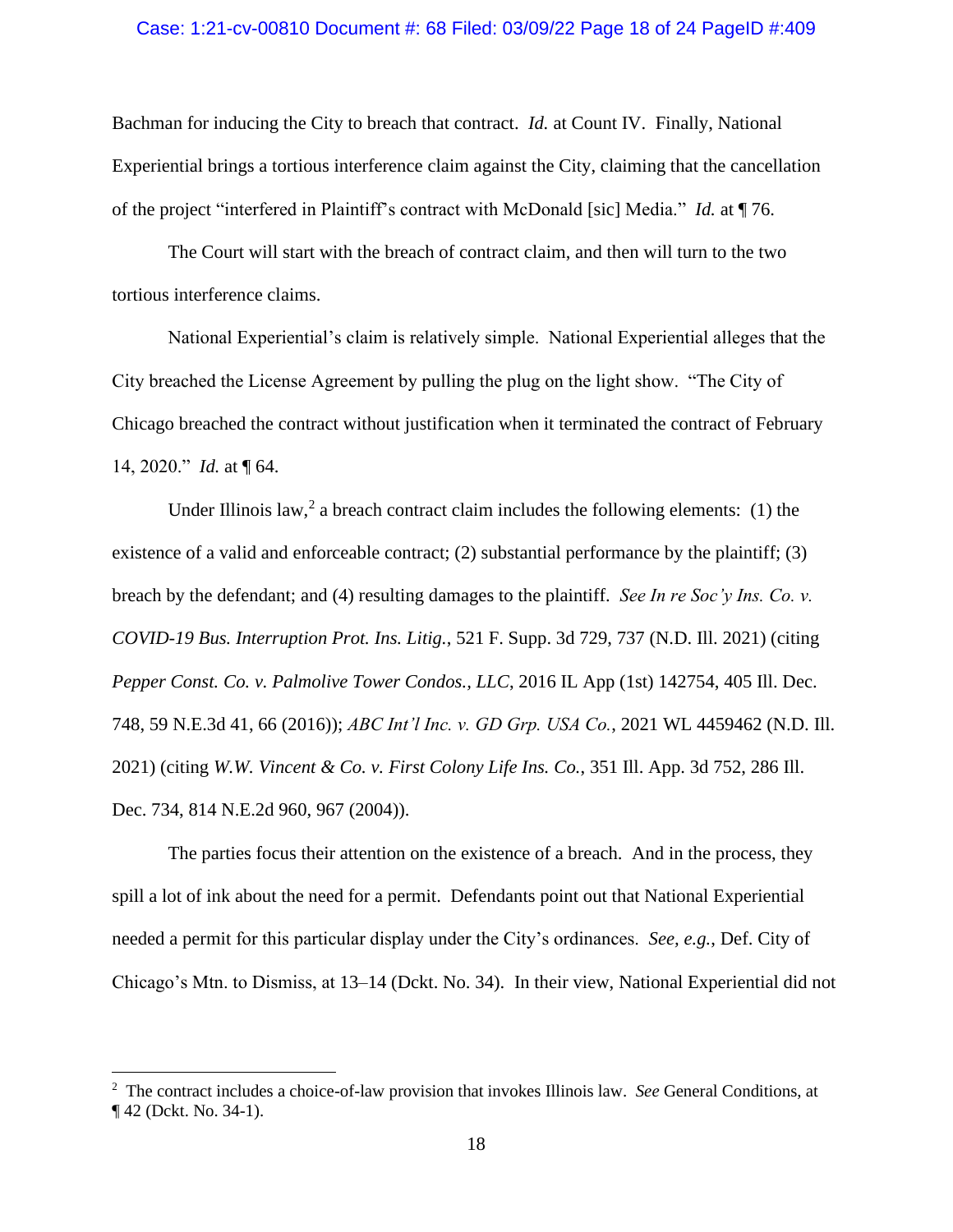### Case: 1:21-cv-00810 Document #: 68 Filed: 03/09/22 Page 18 of 24 PageID #:409

Bachman for inducing the City to breach that contract. *Id.* at Count IV. Finally, National Experiential brings a tortious interference claim against the City, claiming that the cancellation of the project "interfered in Plaintiff's contract with McDonald [sic] Media." *Id.* at ¶ 76.

The Court will start with the breach of contract claim, and then will turn to the two tortious interference claims.

National Experiential's claim is relatively simple. National Experiential alleges that the City breached the License Agreement by pulling the plug on the light show. "The City of Chicago breached the contract without justification when it terminated the contract of February 14, 2020." *Id.* at ¶ 64.

Under Illinois law,<sup>2</sup> a breach contract claim includes the following elements: (1) the existence of a valid and enforceable contract; (2) substantial performance by the plaintiff; (3) breach by the defendant; and (4) resulting damages to the plaintiff. *See In re Soc'y Ins. Co. v. COVID-19 Bus. Interruption Prot. Ins. Litig.*, 521 F. Supp. 3d 729, 737 (N.D. Ill. 2021) (citing *Pepper Const. Co. v. Palmolive Tower Condos., LLC*, 2016 IL App (1st) 142754, 405 Ill. Dec. 748, 59 N.E.3d 41, 66 (2016)); *ABC Int'l Inc. v. GD Grp. USA Co.*, 2021 WL 4459462 (N.D. Ill. 2021) (citing *W.W. Vincent & Co. v. First Colony Life Ins. Co.*, 351 Ill. App. 3d 752, 286 Ill. Dec. 734, 814 N.E.2d 960, 967 (2004)).

The parties focus their attention on the existence of a breach. And in the process, they spill a lot of ink about the need for a permit. Defendants point out that National Experiential needed a permit for this particular display under the City's ordinances. *See, e.g.*, Def. City of Chicago's Mtn. to Dismiss, at 13–14 (Dckt. No. 34). In their view, National Experiential did not

<sup>2</sup> The contract includes a choice-of-law provision that invokes Illinois law. *See* General Conditions, at ¶ 42 (Dckt. No. 34-1).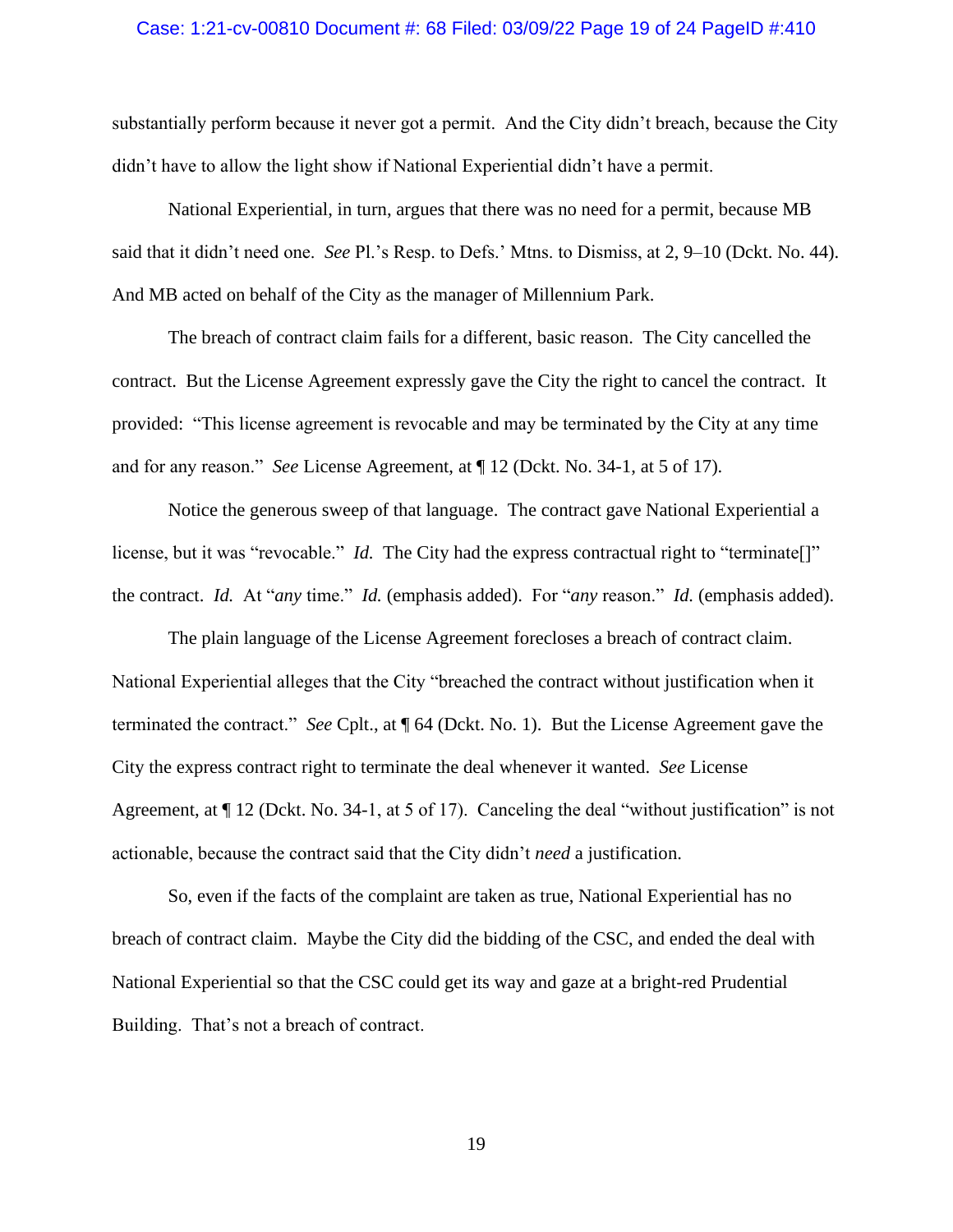### Case: 1:21-cv-00810 Document #: 68 Filed: 03/09/22 Page 19 of 24 PageID #:410

substantially perform because it never got a permit. And the City didn't breach, because the City didn't have to allow the light show if National Experiential didn't have a permit.

National Experiential, in turn, argues that there was no need for a permit, because MB said that it didn't need one. *See* Pl.'s Resp. to Defs.' Mtns. to Dismiss, at 2, 9–10 (Dckt. No. 44). And MB acted on behalf of the City as the manager of Millennium Park.

The breach of contract claim fails for a different, basic reason. The City cancelled the contract. But the License Agreement expressly gave the City the right to cancel the contract. It provided: "This license agreement is revocable and may be terminated by the City at any time and for any reason." *See* License Agreement, at ¶ 12 (Dckt. No. 34-1, at 5 of 17).

Notice the generous sweep of that language. The contract gave National Experiential a license, but it was "revocable." *Id.* The City had the express contractual right to "terminate<sup>[]"</sup> the contract. *Id.* At "*any* time." *Id.* (emphasis added). For "*any* reason." *Id.* (emphasis added).

The plain language of the License Agreement forecloses a breach of contract claim. National Experiential alleges that the City "breached the contract without justification when it terminated the contract." *See* Cplt., at ¶ 64 (Dckt. No. 1). But the License Agreement gave the City the express contract right to terminate the deal whenever it wanted. *See* License Agreement, at ¶ 12 (Dckt. No. 34-1, at 5 of 17). Canceling the deal "without justification" is not actionable, because the contract said that the City didn't *need* a justification.

So, even if the facts of the complaint are taken as true, National Experiential has no breach of contract claim. Maybe the City did the bidding of the CSC, and ended the deal with National Experiential so that the CSC could get its way and gaze at a bright-red Prudential Building. That's not a breach of contract.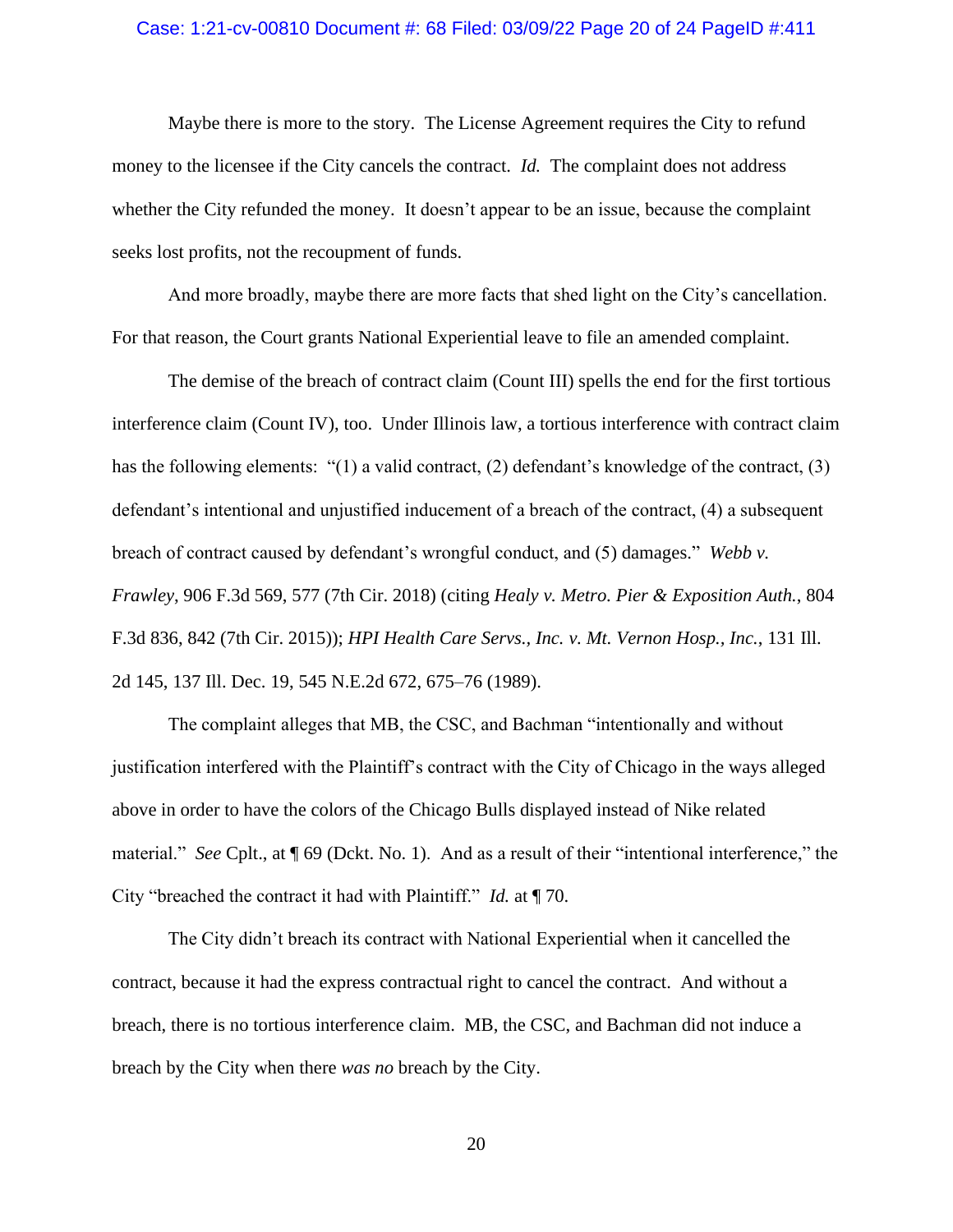# Case: 1:21-cv-00810 Document #: 68 Filed: 03/09/22 Page 20 of 24 PageID #:411

Maybe there is more to the story. The License Agreement requires the City to refund money to the licensee if the City cancels the contract. *Id.* The complaint does not address whether the City refunded the money. It doesn't appear to be an issue, because the complaint seeks lost profits, not the recoupment of funds.

And more broadly, maybe there are more facts that shed light on the City's cancellation. For that reason, the Court grants National Experiential leave to file an amended complaint.

The demise of the breach of contract claim (Count III) spells the end for the first tortious interference claim (Count IV), too. Under Illinois law, a tortious interference with contract claim has the following elements: "(1) a valid contract, (2) defendant's knowledge of the contract, (3) defendant's intentional and unjustified inducement of a breach of the contract, (4) a subsequent breach of contract caused by defendant's wrongful conduct, and (5) damages." *Webb v. Frawley*, 906 F.3d 569, 577 (7th Cir. 2018) (citing *Healy v. Metro. Pier & Exposition Auth.*, 804 F.3d 836, 842 (7th Cir. 2015)); *HPI Health Care Servs., Inc. v. Mt. Vernon Hosp., Inc.*, 131 Ill. 2d 145, 137 Ill. Dec. 19, 545 N.E.2d 672, 675–76 (1989).

The complaint alleges that MB, the CSC, and Bachman "intentionally and without justification interfered with the Plaintiff's contract with the City of Chicago in the ways alleged above in order to have the colors of the Chicago Bulls displayed instead of Nike related material." *See* Cplt., at ¶ 69 (Dckt. No. 1). And as a result of their "intentional interference," the City "breached the contract it had with Plaintiff." *Id.* at ¶ 70.

The City didn't breach its contract with National Experiential when it cancelled the contract, because it had the express contractual right to cancel the contract. And without a breach, there is no tortious interference claim. MB, the CSC, and Bachman did not induce a breach by the City when there *was no* breach by the City.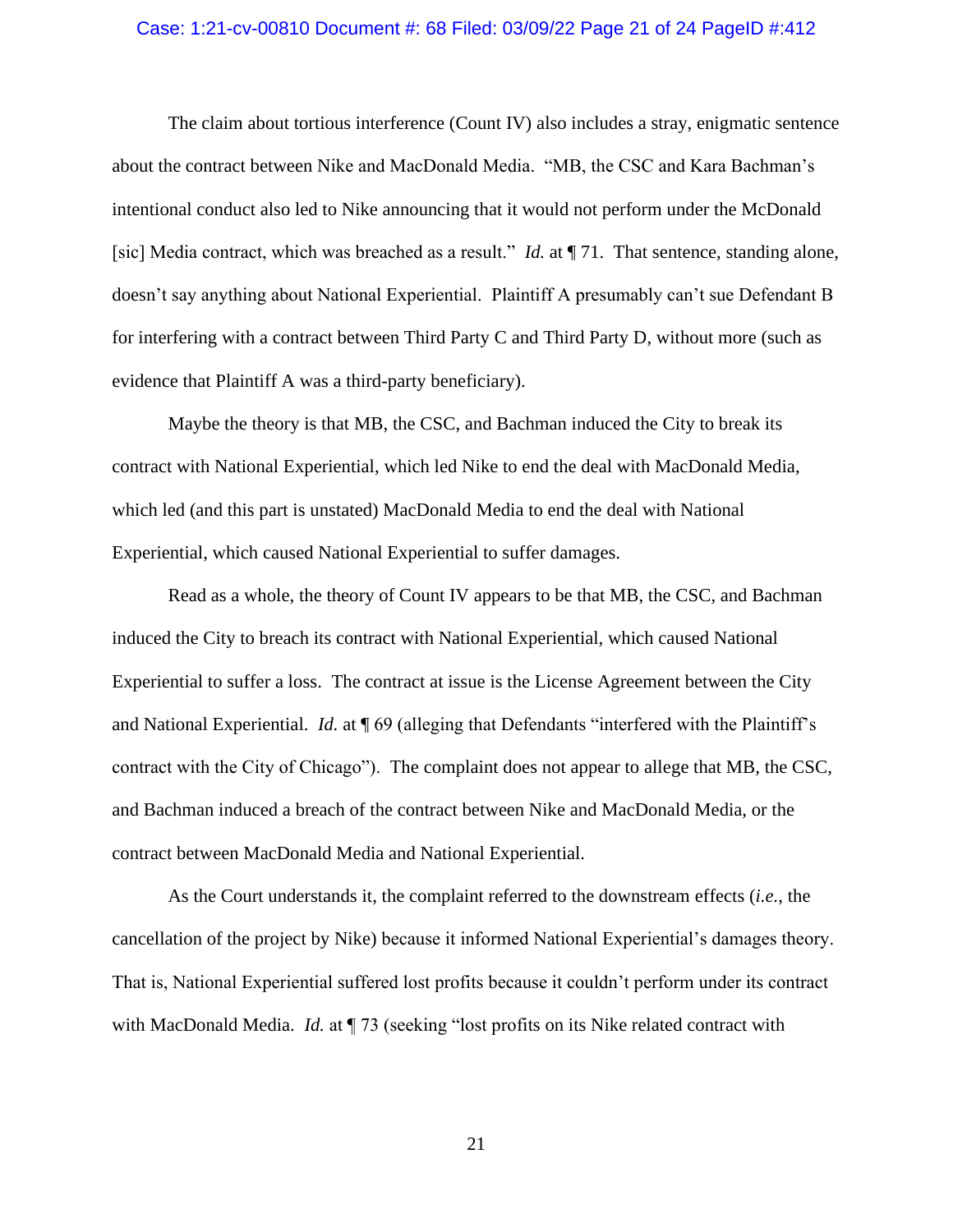### Case: 1:21-cv-00810 Document #: 68 Filed: 03/09/22 Page 21 of 24 PageID #:412

The claim about tortious interference (Count IV) also includes a stray, enigmatic sentence about the contract between Nike and MacDonald Media. "MB, the CSC and Kara Bachman's intentional conduct also led to Nike announcing that it would not perform under the McDonald [sic] Media contract, which was breached as a result." *Id.* at  $\P$  71. That sentence, standing alone, doesn't say anything about National Experiential. Plaintiff A presumably can't sue Defendant B for interfering with a contract between Third Party C and Third Party D, without more (such as evidence that Plaintiff A was a third-party beneficiary).

Maybe the theory is that MB, the CSC, and Bachman induced the City to break its contract with National Experiential, which led Nike to end the deal with MacDonald Media, which led (and this part is unstated) MacDonald Media to end the deal with National Experiential, which caused National Experiential to suffer damages.

Read as a whole, the theory of Count IV appears to be that MB, the CSC, and Bachman induced the City to breach its contract with National Experiential, which caused National Experiential to suffer a loss. The contract at issue is the License Agreement between the City and National Experiential. *Id.* at ¶ 69 (alleging that Defendants "interfered with the Plaintiff's contract with the City of Chicago"). The complaint does not appear to allege that MB, the CSC, and Bachman induced a breach of the contract between Nike and MacDonald Media, or the contract between MacDonald Media and National Experiential.

As the Court understands it, the complaint referred to the downstream effects (*i.e.*, the cancellation of the project by Nike) because it informed National Experiential's damages theory. That is, National Experiential suffered lost profits because it couldn't perform under its contract with MacDonald Media. *Id.* at  $\P$  73 (seeking "lost profits on its Nike related contract with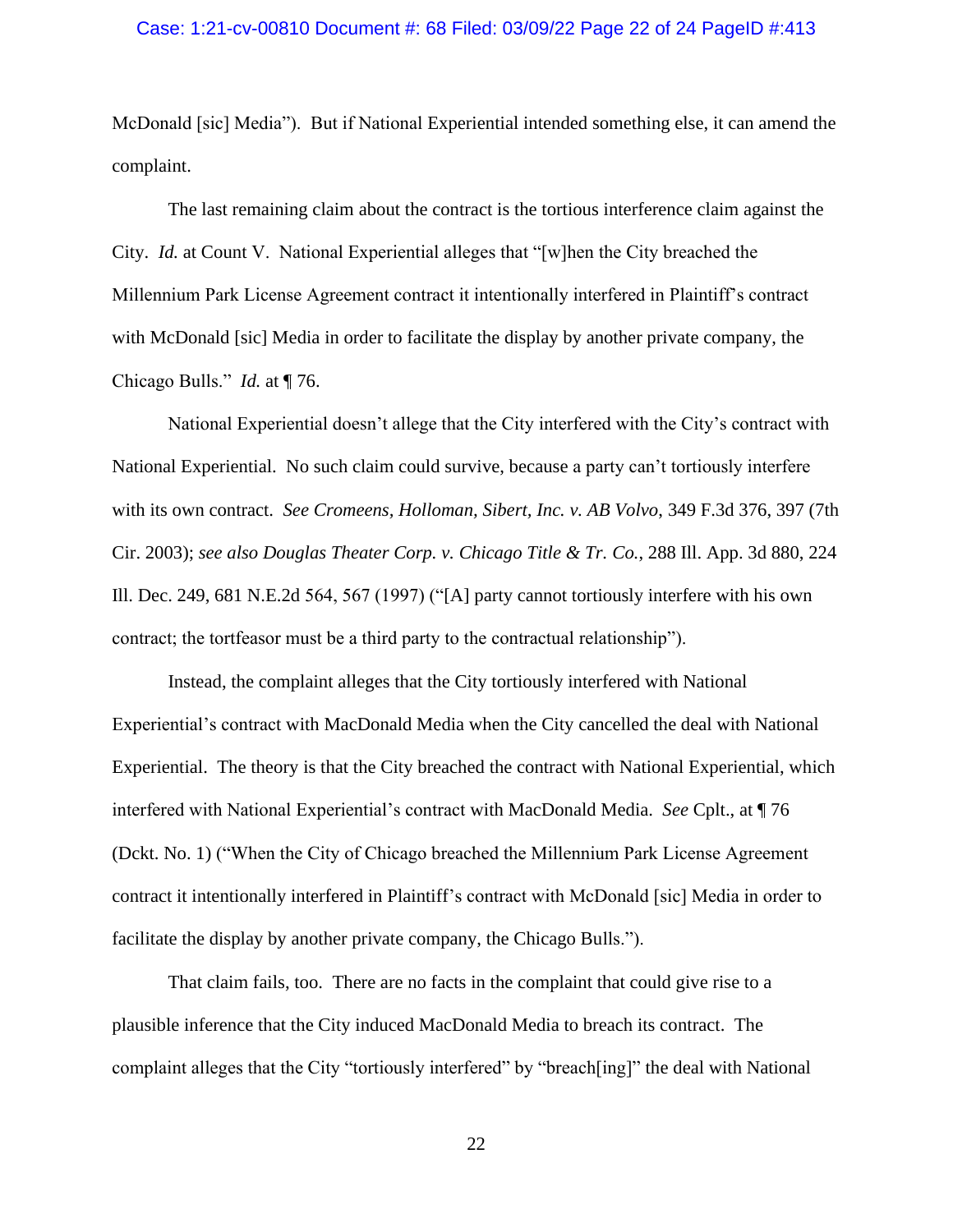McDonald [sic] Media"). But if National Experiential intended something else, it can amend the complaint.

The last remaining claim about the contract is the tortious interference claim against the City. *Id.* at Count V. National Experiential alleges that "[w]hen the City breached the Millennium Park License Agreement contract it intentionally interfered in Plaintiff's contract with McDonald [sic] Media in order to facilitate the display by another private company, the Chicago Bulls." *Id.* at ¶ 76.

National Experiential doesn't allege that the City interfered with the City's contract with National Experiential. No such claim could survive, because a party can't tortiously interfere with its own contract. *See Cromeens, Holloman, Sibert, Inc. v. AB Volvo*, 349 F.3d 376, 397 (7th Cir. 2003); *see also Douglas Theater Corp. v. Chicago Title & Tr. Co.*, 288 Ill. App. 3d 880, 224 Ill. Dec. 249, 681 N.E.2d 564, 567 (1997) ("[A] party cannot tortiously interfere with his own contract; the tortfeasor must be a third party to the contractual relationship").

Instead, the complaint alleges that the City tortiously interfered with National Experiential's contract with MacDonald Media when the City cancelled the deal with National Experiential. The theory is that the City breached the contract with National Experiential, which interfered with National Experiential's contract with MacDonald Media. *See* Cplt., at ¶ 76 (Dckt. No. 1) ("When the City of Chicago breached the Millennium Park License Agreement contract it intentionally interfered in Plaintiff's contract with McDonald [sic] Media in order to facilitate the display by another private company, the Chicago Bulls.").

That claim fails, too. There are no facts in the complaint that could give rise to a plausible inference that the City induced MacDonald Media to breach its contract. The complaint alleges that the City "tortiously interfered" by "breach[ing]" the deal with National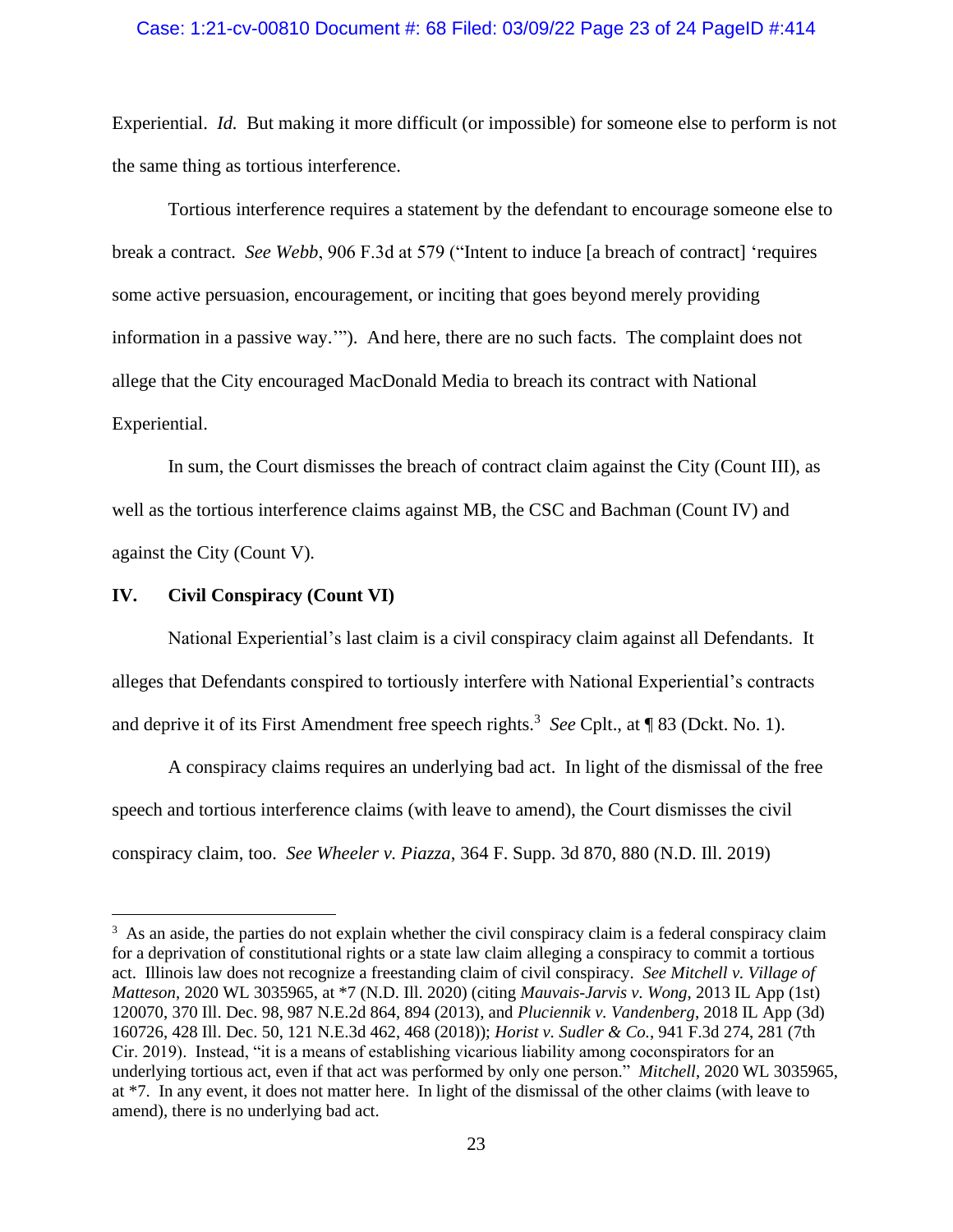### Case: 1:21-cv-00810 Document #: 68 Filed: 03/09/22 Page 23 of 24 PageID #:414

Experiential. *Id.* But making it more difficult (or impossible) for someone else to perform is not the same thing as tortious interference.

Tortious interference requires a statement by the defendant to encourage someone else to break a contract. *See Webb*, 906 F.3d at 579 ("Intent to induce [a breach of contract] 'requires some active persuasion, encouragement, or inciting that goes beyond merely providing information in a passive way.'"). And here, there are no such facts. The complaint does not allege that the City encouraged MacDonald Media to breach its contract with National Experiential.

In sum, the Court dismisses the breach of contract claim against the City (Count III), as well as the tortious interference claims against MB, the CSC and Bachman (Count IV) and against the City (Count V).

## **IV. Civil Conspiracy (Count VI)**

National Experiential's last claim is a civil conspiracy claim against all Defendants. It alleges that Defendants conspired to tortiously interfere with National Experiential's contracts and deprive it of its First Amendment free speech rights.<sup>3</sup> See Cplt., at ¶ 83 (Dckt. No. 1).

A conspiracy claims requires an underlying bad act. In light of the dismissal of the free speech and tortious interference claims (with leave to amend), the Court dismisses the civil conspiracy claim, too. *See Wheeler v. Piazza*, 364 F. Supp. 3d 870, 880 (N.D. Ill. 2019)

<sup>&</sup>lt;sup>3</sup> As an aside, the parties do not explain whether the civil conspiracy claim is a federal conspiracy claim for a deprivation of constitutional rights or a state law claim alleging a conspiracy to commit a tortious act. Illinois law does not recognize a freestanding claim of civil conspiracy. *See Mitchell v. Village of Matteson*, 2020 WL 3035965, at \*7 (N.D. Ill. 2020) (citing *Mauvais-Jarvis v. Wong*, 2013 IL App (1st) 120070, 370 Ill. Dec. 98, 987 N.E.2d 864, 894 (2013), and *Pluciennik v. Vandenberg*, 2018 IL App (3d) 160726, 428 Ill. Dec. 50, 121 N.E.3d 462, 468 (2018)); *Horist v. Sudler & Co.*, 941 F.3d 274, 281 (7th Cir. 2019). Instead, "it is a means of establishing vicarious liability among coconspirators for an underlying tortious act, even if that act was performed by only one person." *Mitchell*, 2020 WL 3035965, at \*7. In any event, it does not matter here. In light of the dismissal of the other claims (with leave to amend), there is no underlying bad act.